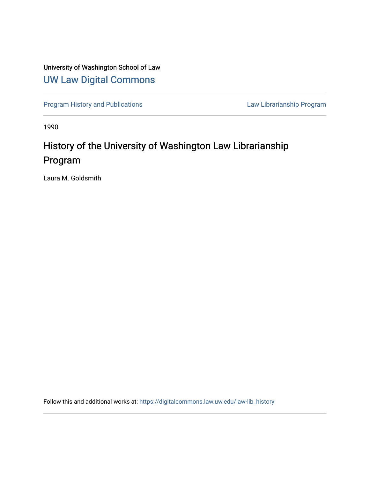## University of Washington School of Law [UW Law Digital Commons](https://digitalcommons.law.uw.edu/)

[Program History and Publications](https://digitalcommons.law.uw.edu/law-lib_history) **Law Librarianship Program** 

1990

# History of the University of Washington Law Librarianship Program

Laura M. Goldsmith

Follow this and additional works at: [https://digitalcommons.law.uw.edu/law-lib\\_history](https://digitalcommons.law.uw.edu/law-lib_history?utm_source=digitalcommons.law.uw.edu%2Flaw-lib_history%2F1&utm_medium=PDF&utm_campaign=PDFCoverPages)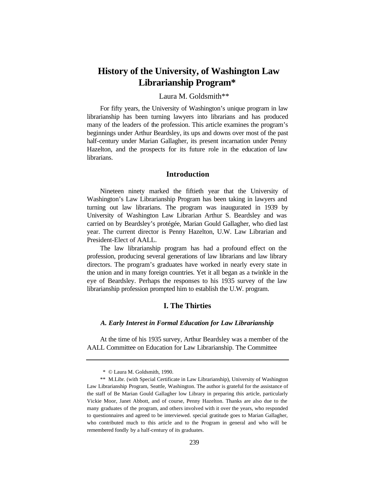## **History of the University, of Washington Law Librarianship Program\***

## Laura M. Goldsmith\*\*

For fifty years, the University of Washington's unique program in law librarianship has been turning lawyers into librarians and has produced many of the leaders of the profession. This article examines the program's beginnings under Arthur Beardsley, its ups and downs over most of the past half-century under Marian Gallagher, its present incarnation under Penny Hazelton, and the prospects for its future role in the education of law librarians.

## **Introduction**

Nineteen ninety marked the fiftieth year that the University of Washington's Law Librarianship Program has been taking in lawyers and turning out law librarians. The program was inaugurated in 1939 by University of Washington Law Librarian Arthur S. Beardsley and was carried on by Beardsley's protégée, Marian Gould Gallagher, who died last year. The current director is Penny Hazelton, U.W. Law Librarian and President-Elect of AALL.

The law librarianship program has had a profound effect on the profession, producing several generations of law librarians and law library directors. The program's graduates have worked in nearly every state in the union and in many foreign countries. Yet it all began as a twinkle in the eye of Beardsley. Perhaps the responses to his 1935 survey of the law librarianship profession prompted him to establish the U.W. program.

## **I. The Thirties**

## *A. Early Interest in Formal Education for Law Librarianship*

At the time of his 1935 survey, Arthur Beardsley was a member of the AALL Committee on Education for Law Librarianship. The Committee

 <sup>\* ©</sup> Laura M. Goldsmith, 1990.

<sup>\*\*</sup> M.Libr. (with Special Certificate in Law Librarianship), University of Washington Law Librarianship Program, Seattle, Washington. The author is grateful for the assistance of the staff of Be Marian Gould Gallagher low Library in preparing this article, particularly Vickie Moor, Janet Abbott, and of course, Penny Hazelton. Thanks are also due to the many graduates of the program, and others involved with it over the years, who responded to questionnaires and agreed to be interviewed. special gratitude goes to Marian Gallagher, who contributed much to this article and to the Program in general and who will be remembered fondly by a half-century of its graduates.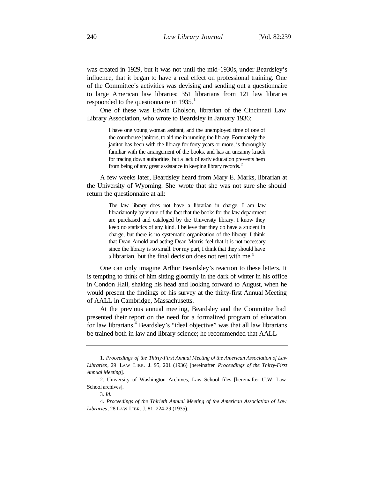was created in 1929, but it was not until the mid-1930s, under Beardsley's influence, that it began to have a real effect on professional training. One of the Committee's activities was devising and sending out a questionnaire to large American law libraries; 351 librarians from 121 law libraries respoonded to the questionnaire in  $1935$ .<sup>1</sup>

One of these was Edwin Gholson, librarian of the Cincinnati Law Library Association, who wrote to Beardsley in January 1936:

> I have one young woman assitant, and the unemployed time of one of the courthouse janitors, to aid me in running the library. Fortunately the janitor has been with the library for forty years or more, is thoroughly familiar with the arrangement of the books, and has an uncanny knack for tracing down authorities, but a lack of early education prevents hem from being of any great assistance in keeping library records.<sup>2</sup>

A few weeks later, Beardsley heard from Mary E. Marks, librarian at the University of Wyoming. She wrote that she was not sure she should return the questionnaire at all:

> The law library does not have a librarian in charge. I am law librarianonly by virtue of the fact that the books for the law department are purchased and cataloged by the University library. I know they keep no statistics of any kind. I believe that they do have a student in charge, but there is no systematic organization of the library. I think that Dean Arnold and acting Dean Morris feel that it is not necessary since the library is so small. For my part, I think that they should have a librarian, but the final decision does not rest with me.<sup>3</sup>

One can only imagine Arthur Beardsley's reaction to these letters. It is tempting to think of him sitting gloomily in the dark of winter in his office in Condon Hall, shaking his head and looking forward to August, when he would present the findings of his survey at the thirty-first Annual Meeting of AALL in Cambridge, Massachusetts.

At the previous annual meeting, Beardsley and the Committee had presented their report on the need for a formalized program of education for law librarians.<sup> $4$ </sup> Beardsley's "ideal objective" was that all law librarians be trained both in law and library science; he recommended that AALL

<sup>1.</sup> *Proceedings of the Thirty-First Annual Meeting of the American Association of Law Libraries*, 29 LAW LIBR. J. 95, 201 (1936) [hereinafter *Proceedings of the Thirty-First Annual Meeting*].

<sup>2.</sup> University of Washington Archives, Law School files [hereinafter U.W. Law School archives].

<sup>3.</sup> *Id.*

<sup>4.</sup> *Proceedings of the Thirieth Annual Meeting of the American Association of Law Libraries*, 28 LAW LIBR. J. 81, 224-29 (1935).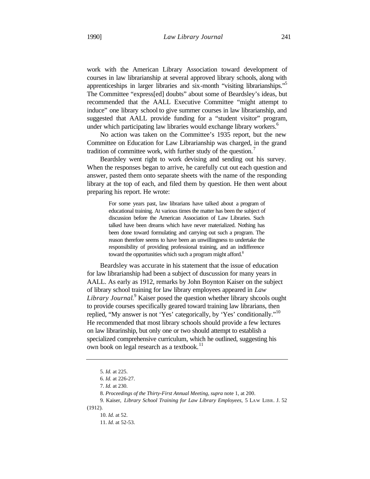work with the American Library Association toward development of courses in law librarianship at several approved library schools, along with apprenticeships in larger libraries and six-month "visiting librarianships."<sup>5</sup> The Committee "express[ed] doubts" about some of Beardsley's ideas, but recommended that the AALL Executive Committee "might attempt to induce" one library school to give summer courses in law librarianship, and suggested that AALL provide funding for a "student visitor" program, under which participating law libraries would exchange library workers.<sup>6</sup>

No action was taken on the Committee's 1935 report, but the new Committee on Education for Law Librarianship was charged, in the grand tradition of committee work, with further study of the question.

Beardsley went right to work devising and sending out his survey. When the responses began to arrive, he carefully cut out each question and answer, pasted them onto separate sheets with the name of the responding library at the top of each, and filed them by question. He then went about preparing his report. He wrote:

> For some years past, law librarians have talked about a program of educational training. At various times the matter has been the subject of discussion before the American Association of Law Libraries. Such talked have been dreams which have never materialized. Nothing has been done toward formulating and carrying out such a program. The reason therefore seems to have been an unwillingness to undertake the responsibility of providing professional training, and an indifference toward the opportunities which such a program might afford.<sup>8</sup>

Beardsley was accurate in his statement that the issue of education for law librarianship had been a subject of duscussion for many years in AALL. As early as 1912, remarks by John Boynton Kaiser on the subject of library school training for law library employees appeared in *Law*  Library Journal.<sup>9</sup> Kaiser posed the question whether library shcools ought to provide courses specifically geared toward training law librarians, then replied, "My answer is not 'Yes' categorically, by 'Yes' conditionally."<sup>10</sup> He recommended that most library schools should provide a few lectures on law librarinship, but only one or two should attempt to establish a specialized comprehensive curriculum, which he outlined, suggesting his own book on legal research as a textbook.<sup>11</sup>

<sup>5.</sup> *Id.* at 225.

<sup>6.</sup> *Id.* at 226-27.

<sup>7.</sup> *Id.* at 230.

<sup>8.</sup> *Proceedings of the Thirty-First Annual Meeting, supra* note 1, at 200.

<sup>9.</sup> Kaiser, *Library School Training for Law Library Employees,* 5 LAW LIBR. J. 52 (1912).

<sup>10.</sup> *Id.* at 52.

<sup>11.</sup> *Id.* at 52-53.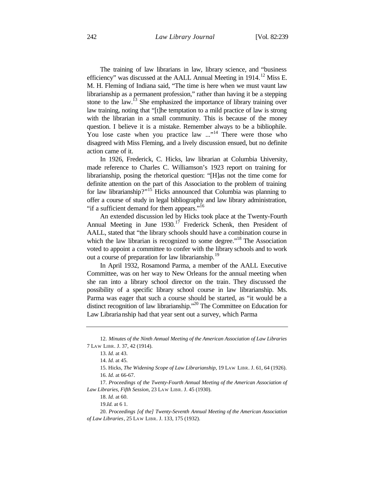The training of law librarians in law, library science, and "business efficiency" was discussed at the AALL Annual Meeting in  $1914$ <sup>12</sup> Miss E. M. H. Fleming of Indiana said, "The time is here when we must vaunt law librarianship as a permanent profession," rather than having it be a stepping stone to the law.<sup>13</sup> She emphasized the importance of library training over law training, noting that "[t]he temptation to a mild practice of law is strong with the librarian in a small community. This is because of the money question. I believe it is a mistake. Remember always to be a bibliophile. You lose caste when you practice law ..."<sup>14</sup> There were those who disagreed with Miss Fleming, and a lively discussion ensued, but no definite action came of it.

In 1926, Frederick, C. Hicks, law librarian at Columbia University, made reference to Charles C. Williamson's 1923 report on training for librarianship, posing the rhetorical question: "[H]as not the time come for definite attention on the part of this Association to the problem of training for law librarianship?"<sup>15</sup> Hicks announced that Columbia was planning to offer a course of study in legal bibliography and law library administration, "if a sufficient demand for them appears."<sup>16</sup>

An extended discussion led by Hicks took place at the Twenty-Fourth Annual Meeting in June  $1930$ .<sup>17</sup> Frederick Schenk, then President of AALL, stated that "the library schools should have a combination course in which the law librarian is recognized to some degree."<sup>18</sup> The Association voted to appoint a committee to confer with the library schools and to work out a course of preparation for law librarianship.<sup>19</sup>

In April 1932, Rosamond Parma, a member of the AALL Executive Committee, was on her way to New Orleans for the annual meeting when she ran into a library school director on the train. They discussed the possibility of a specific library school course in law librarianship. Ms. Parma was eager that such a course should be started, as "it would be a distinct recognition of law librarianship."<sup>20</sup> The Committee on Education for Law Librarianship had that year sent out a survey, which Parma

18. *Id.* at 60.

<sup>12.</sup> *Minutes of the Ninth Annual Meeting of the American Association of Law Libraries* 7 LAW LIBR. J. 37, 42 (1914).

<sup>13.</sup> *Id.* at 43.

<sup>14.</sup> *Id.* at 45.

<sup>15.</sup> Hicks, *The Widening Scope of Law Librarianship*, 19 LAW LIBR. J. 61, 64 (1926). 16. *Id.* at 66-67.

<sup>17.</sup> *Proceedings of the Twenty-Fourth Annual Meeting of the American Association of Law Libraries, Fifth Session*, 23 LAW LIBR. J. 45 (1930).

<sup>19.</sup>*Id.* at 6 1.

<sup>20.</sup> *Proceedings [of the] Twenty-Seventh Annual Meeting of the American Association of Law Libraries*, 25 LAW LIBR. J. 133, 175 (1932).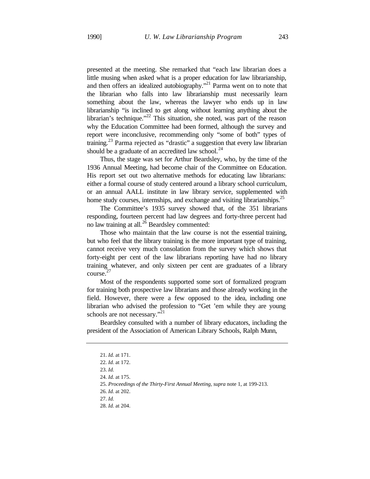presented at the meeting. She remarked that "each law librarian does a little musing when asked what is a proper education for law librarianship, and then offers an idealized autobiography."<sup>21</sup> Parma went on to note that the librarian who falls into law librarianship must necessarily learn something about the law, whereas the lawyer who ends up in law librarianship "is inclined to get along without learning anything about the librarian's technique."<sup>22</sup> This situation, she noted, was part of the reason why the Education Committee had been formed, although the survey and report were inconclusive, recommending only "some of both" types of training.<sup>23</sup> Parma rejected as "drastic" a suggestion that every law librarian should be a graduate of an accredited law school. $^{24}$ 

Thus, the stage was set for Arthur Beardsley, who, by the time of the 1936 Annual Meeting, had become chair of the Committee on Education. His report set out two alternative methods for educating law librarians: either a formal course of study centered around a library school curriculum, or an annual AALL institute in law library service, supplemented with home study courses, internships, and exchange and visiting librarianships.<sup>25</sup>

The Committee's 1935 survey showed that, of the 351 librarians responding, fourteen percent had law degrees and forty-three percent had no law training at all.<sup>26</sup> Beardsley commented:

Those who maintain that the law course is not the essential training, but who feel that the library training is the more important type of training, cannot receive very much consolation from the survey which shows that forty-eight per cent of the law librarians reporting have had no library training whatever, and only sixteen per cent are graduates of a library course. 27

Most of the respondents supported some sort of formalized program for training both prospective law librarians and those already working in the field. However, there were a few opposed to the idea, including one librarian who advised the profession to "Get 'em while they are young schools are not necessary."<sup>21</sup>

Beardsley consulted with a number of library educators, including the president of the Association of American Library Schools, Ralph Munn,

<sup>21.</sup> *Id.* at 171.

<sup>22.</sup> *Id.* at 172.

<sup>23.</sup> *Id.*

<sup>24.</sup> *Id.* at 175.

<sup>25.</sup> *Proceedings of the Thirty-First Annual Meeting, supra* note 1, at 199-213.

<sup>26.</sup> *Id.* at 202.

<sup>27.</sup> *Id.*

<sup>28.</sup> *Id.* at 204.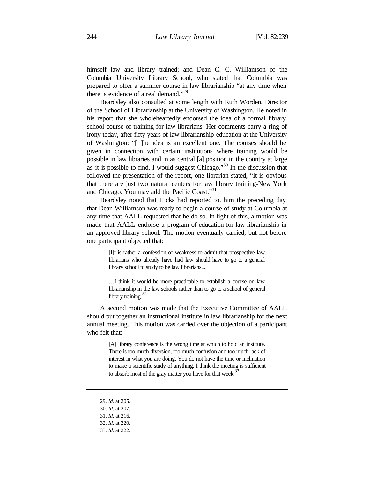himself law and library trained; and Dean C. C. Williamson of the Columbia University Library School, who stated that Columbia was prepared to offer a summer course in law librarianship "at any time when there is evidence of a real demand."<sup>29</sup>

Beardsley also consulted at some length with Ruth Worden, Director of the School of Librarianship at the University of Washington. He noted in his report that she wholeheartedly endorsed the idea of a formal library school course of training for law librarians. Her comments carry a ring of irony today, after fifty years of law librarianship education at the University of Washington: "[T]he idea is an excellent one. The courses should be given in connection with certain institutions where training would be possible in law libraries and in as central [a] position in the country at large as it is possible to find. I would suggest Chicago."<sup>30</sup> In the discussion that followed the presentation of the report, one librarian stated, "It is obvious that there are just two natural centers for law library training-New York and Chicago. You may add the Pacific Coast."<sup>31</sup>

Beardsley noted that Hicks had reported to. him the preceding day that Dean Williamson was ready to begin a course of study at Columbia at any time that AALL requested that he do so. In light of this, a motion was made that AALL endorse a program of education for law librarianship in an approved library school. The motion eventually carried, but not before one participant objected that:

> [I]t is rather a confession of weakness to admit that prospective law librarians who already have had law should have to go to a general library school to study to be law librarians....

> …I think it would be more practicable to establish a course on law librarianship in the law schools rather than to go to a school of general library training.  $32$

A second motion was made that the Executive Committee of AALL should put together an instructional institute in law librarianship for the next annual meeting. This motion was carried over the objection of a participant who felt that:

> [A] library conference is the wrong time at which to hold an institute. There is too much diversion, too much confusion and too much lack of interest in what you are doing. You do not have the time or inclination to make a scientific study of anything. I think the meeting is sufficient to absorb most of the gray matter you have for that week.<sup>3</sup>

29. *Id.* at 205.

<sup>30.</sup> *Id.* at 207.

<sup>31.</sup> *Id.* at 216.

<sup>32.</sup> *Id.* at 220.

<sup>33.</sup> *Id.* at 222.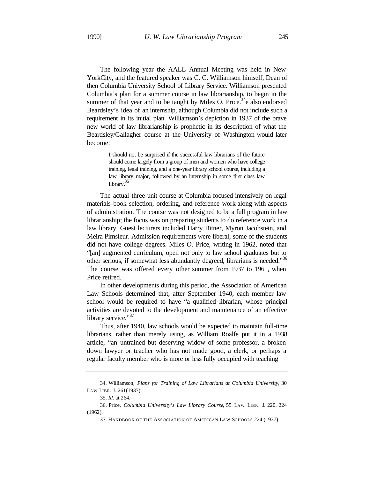The following year the AALL Annual Meeting was held in New YorkCity, and the featured speaker was C. C. Williamson himself, Dean of then Columbia University School of Library Service. Williamson presented Columbia's plan for a summer course in law librarianship, to begin in the summer of that year and to be taught by Miles O. Price.<sup>34</sup>e also endorsed Beardsley's idea of an internship, although Columbia did not include such a requirement in its initial plan. Williamson's depiction in 1937 of the brave new world of law librarianship is prophetic in its description of what the Beardsley/Gallagher course at the University of Washington would later become:

> I should not be surprised if the successful law librarians of the future should come largely from a group of men and women who have college training, legal training, and a one-year library school course, including a law library major, followed by an internship in some first class law library.<sup>35</sup>

The actual three-unit course at Columbia focused intensively on legal materials-book selection, ordering, and reference work-along with aspects of administration. The course was not designed to be a full program in law librarianship; the focus was on preparing students to do reference work in a law library. Guest lecturers included Harry Bitner, Myron Jacobstein, and Meira Pimsleur. Admission requirements were liberal; some of the students did not have college degrees. Miles O. Price, writing in 1962, noted that "[an] augmented curriculum, open not only to law school graduates but to other serious, if somewhat less abundantly degreed, librarians is needed."<sup>36</sup> The course was offered every other summer from 1937 to 1961, when Price retired.

In other developments during this period, the Association of American Law Schools determined that, after September 1940, each member law school would be required to have "a qualified librarian, whose principal activities are devoted to the development and maintenance of an effective library service."<sup>37</sup>

Thus, after 1940, law schools would be expected to maintain full-time librarians, rather than merely using, as William Roalfe put it in a 1938 article, "an untrained but deserving widow of some professor, a broken down lawyer or teacher who has not made good, a clerk, or perhaps a regular faculty member who is more or less fully occupied with teaching

<sup>34.</sup> Williamson, *Plans for Training of Law Librarians at Columbia University*, 30 LAW LIBR. J. 261(1937).

<sup>35.</sup> *Id.* at 264.

<sup>36.</sup> Price, *Columbia University's Law Library Course*, 55 LAW LIBR. J. 220, 224 (1962).

<sup>37.</sup> HANDBOOK OF THE ASSOCIATION OF AMERICAN LAW SCHOOLS 224 (1937).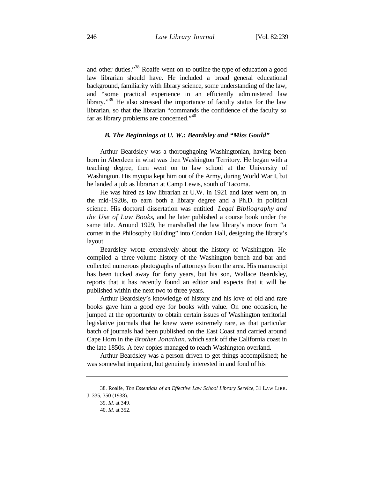and other duties."<sup>38</sup> Roalfe went on to outline the type of education a good law librarian should have. He included a broad general educational background, familiarity with library science, some understanding of the law, and "some practical experience in an efficiently administered law library."<sup>39</sup> He also stressed the importance of faculty status for the law librarian, so that the librarian "commands the confidence of the faculty so far as library problems are concerned."<sup>40</sup>

#### *B. The Beginnings at U. W.: Beardsley and "Miss Gould"*

Arthur Beardsley was a thoroughgoing Washingtonian, having been born in Aberdeen in what was then Washington Territory. He began with a teaching degree, then went on to law school at the University of Washington. His myopia kept him out of the Army, during World War I, but he landed a job as librarian at Camp Lewis, south of Tacoma.

He was hired as law librarian at U.W. in 1921 and later went on, in the mid-1920s, to earn both a library degree and a Ph.D. in political science. His doctoral dissertation was entitled *Legal Bibliography and the Use of Law Books*, and he later published a course book under the same title. Around 1929, he marshalled the law library's move from "a corner in the Philosophy Building" into Condon Hall, designing the library's layout.

Beardsley wrote extensively about the history of Washington. He compiled a three-volume history of the Washington bench and bar and collected numerous photographs of attorneys from the area. His manuscript has been tucked away for forty years, but his son, Wallace Beardsley, reports that it has recently found an editor and expects that it will be published within the next two to three years.

Arthur Beardsley's knowledge of history and his love of old and rare books gave him a good eye for books with value. On one occasion, he jumped at the opportunity to obtain certain issues of Washington territorial legislative journals that he knew were extremely rare, as that particular batch of journals had been published on the East Coast and carried around Cape Horn in the *Brother Jonathan*, which sank off the California coast in the late 1850s. A few copies managed to reach Washington overland.

Arthur Beardsley was a person driven to get things accomplished; he was somewhat impatient, but genuinely interested in and fond of his

<sup>38.</sup> Roalfe, *The Essentials of an Effective Law School Library Service*, 31 LAW LIBR. J. 335, 350 (1938).

<sup>39.</sup> *Id.* at 349.

<sup>40.</sup> *Id.* at 352.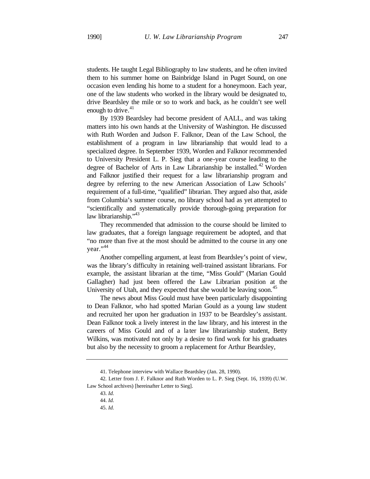students. He taught Legal Bibliography to law students, and he often invited them to his summer home on Bainbridge Island in Puget Sound, on one occasion even lending his home to a student for a honeymoon. Each year, one of the law students who worked in the library would be designated to, drive Beardsley the mile or so to work and back, as he couldn't see well enough to drive.<sup>41</sup>

By 1939 Beardsley had become president of AALL, and was taking matters into his own hands at the University of Washington. He discussed with Ruth Worden and Judson F. Falknor, Dean of the Law School, the establishment of a program in law librarianship that would lead to a specialized degree. In September 1939, Worden and Falknor recommended to University President L. P. Sieg that a one-year course leading to the degree of Bachelor of Arts in Law Librarianship be installed.<sup>42</sup> Worden and Falknor justified their request for a law librarianship program and degree by referring to the new American Association of Law Schools' requirement of a full-time, "qualified" librarian. They argued also that, aside from Columbia's summer course, no library school had as yet attempted to "scientifically and systematically provide thorough-going preparation for law librarianship."<sup>43</sup>

They recommended that admission to the course should be limited to law graduates, that a foreign language requirement be adopted, and that "no more than five at the most should be admitted to the course in any one vear."<sup>44</sup>

Another compelling argument, at least from Beardsley's point of view, was the library's difficulty in retaining well-trained assistant librarians. For example, the assistant librarian at the time, "Miss Gould" (Marian Gould Gallagher) had just been offered the Law Librarian position at the University of Utah, and they expected that she would be leaving soon.<sup>45</sup>

The news about Miss Gould must have been particularly disappointing to Dean Falknor, who had spotted Marian Gould as a young law student and recruited her upon her graduation in 1937 to be Beardsley's assistant. Dean Falknor took a lively interest in the law library, and his interest in the careers of Miss Gould and of a la ter law librarianship student, Betty Wilkins, was motivated not only by a desire to find work for his graduates but also by the necessity to groom a replacement for Arthur Beardsley,

45. *Id.*

<sup>41.</sup> Telephone interview with Wallace Beardsley (Jan. 28, 1990).

<sup>42.</sup> Letter from J. F. Falknor and Ruth Worden to L. P. Sieg (Sept. 16, 1939) (U.W. Law School archives) [hereinafter Letter to Sieg].

<sup>43.</sup> *Id.*

<sup>44.</sup> *Id.*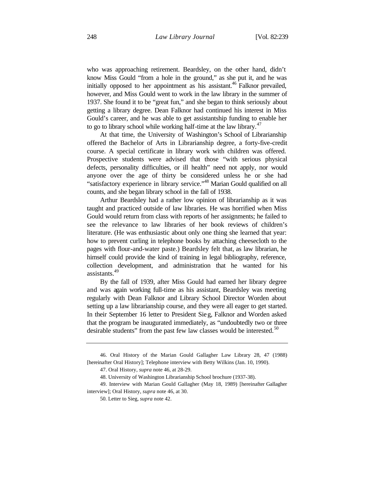who was approaching retirement. Beardsley, on the other hand, didn't know Miss Gould "from a hole in the ground," as she put it, and he was initially opposed to her appointment as his assistant.<sup>46</sup> Falknor prevailed, however, and Miss Gould went to work in the law library in the summer of 1937. She found it to be "great fun," and she began to think seriously about getting a library degree. Dean Falknor had continued his interest in Miss Gould's career, and he was able to get assistantship funding to enable her to go to library school while working half-time at the law library. $47$ 

At that time, the University of Washington's School of Librarianship offered the Bachelor of Arts in Librarianship degree, a forty-five-credit course. A special certificate in library work with children was offered. Prospective students were advised that those "with serious physical defects, personality difficulties, or ill health" need not apply, nor would anyone over the age of thirty be considered unless he or she had "satisfactory experience in library service."<sup>48</sup> Marian Gould qualified on all counts, and she began library school in the fall of 1938.

Arthur Beardsley had a rather low opinion of librarianship as it was taught and practiced outside of law libraries. He was horrified when Miss Gould would return from class with reports of her assignments; he failed to see the relevance to law libraries of her book reviews of children's literature. (He was enthusiastic about only one thing she learned that year: how to prevent curling in telephone books by attaching cheesecloth to the pages with flour-and-water paste.) Beardsley felt that, as law librarian, he himself could provide the kind of training in legal bibliography, reference, collection development, and administration that he wanted for his assistants.<sup>49</sup>

By the fall of 1939, after Miss Gould had earned her library degree and was again working full-time as his assistant, Beardsley was meeting regularly with Dean Falknor and Library School Director Worden about setting up a law librarianship course, and they were all eager to get started. In their September 16 letter to President Sieg, Falknor and Worden asked that the program be inaugurated immediately, as "undoubtedly two or three desirable students" from the past few law classes would be interested.<sup>50</sup>

<sup>46.</sup> Oral History of the Marian Gould Gallagher Law Library 28, 47 (1988) [hereinafter Oral History]; Telephone interview with Betty Wilkins (Jan. 10, 1990).

<sup>47.</sup> Oral History, *supra* note 46, at 28-29.

<sup>48.</sup> University of Washington Librarianship School brochure (1937-38).

<sup>49.</sup> Interview with Marian Gould Gallagher (May 18, 1989) [hereinafter Gallagher interview]; Oral History, *supra* note 46, at 30.

<sup>50.</sup> Letter to Sieg, *supra* note 42.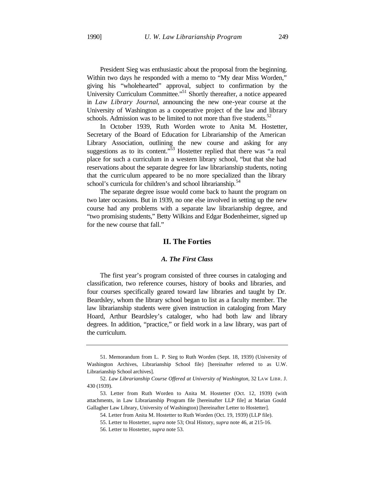President Sieg was enthusiastic about the proposal from the beginning. Within two days he responded with a memo to "My dear Miss Worden," giving his "wholehearted" approval, subject to confirmation by the University Curriculum Committee."<sup>51</sup> Shortly thereafter, a notice appeared in *Law Library Journal*, announcing the new one-year course at the University of Washington as a cooperative project of the law and library schools. Admission was to be limited to not more than five students. $52$ 

In October 1939, Ruth Worden wrote to Anita M. Hostetter, Secretary of the Board of Education for Librarianship of the American Library Association, outlining the new course and asking for any suggestions as to its content."<sup>53</sup> Hostetter replied that there was "a real place for such a curriculum in a western library school, "but that she had reservations about the separate degree for law librarianship students, noting that the curriculum appeared to be no more specialized than the library school's curricula for children's and school librarianship.<sup>54</sup>

The separate degree issue would come back to haunt the program on two later occasions. But in 1939, no one else involved in setting up the new course had any problems with a separate law librarianship degree, and "two promising students," Betty Wilkins and Edgar Bodenheimer, signed up for the new course that fall."

## **II. The Forties**

### *A. The First Class*

The first year's program consisted of three courses in cataloging and classification, two reference courses, history of books and libraries, and four courses specifically geared toward law libraries and taught by Dr. Beardsley, whom the library school began to list as a faculty member. The law librarianship students were given instruction in cataloging from Mary Hoard, Arthur Beardsley's cataloger, who had both law and library degrees. In addition, "practice," or field work in a law library, was part of the curriculum.

<sup>51.</sup> Memorandum from L. P. Sieg to Ruth Worden (Sept. 18, 1939) (University of Washington Archives, Librarianship School file) [hereinafter referred to as U.W. Librarianship School archives].

<sup>52.</sup> *Law Librarianship Course Offered at University of Washington*, 32 LAW LIBR. J. 430 (1939).

<sup>53.</sup> Letter from Ruth Worden to Anita M. Hostetter (Oct. 12, 1939) (with attachments, in Law Librarianship Program file [hereinafter LLP file] at Marian Gould Gallagher Law Library, University of Washington) [hereinafter Letter to Hostetter].

<sup>54.</sup> Letter from Anita M. Hostetter to Ruth Worden (Oct. 19, 1939) (LLP file).

<sup>55.</sup> Letter to Hostetter, *supra* note 53; Oral History, *supra* note 46, at 215-16.

<sup>56.</sup> Letter to Hostetter, *supra* note 53.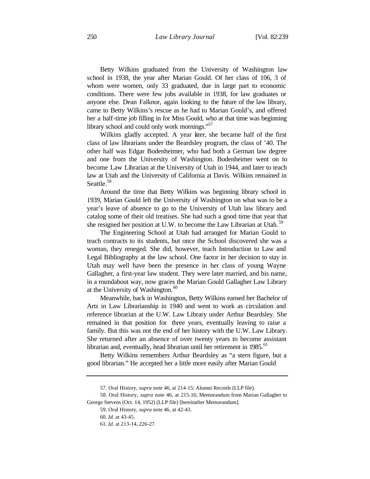Betty Wilkins graduated from the University of Washington law school in 1938, the year after Marian Gould. Of her class of 106, 3 of whom were women, only 33 graduated, due in large part to economic conditions. There were few jobs available in 1938, for law graduates or anyone else. Dean Falknor, again looking to the future of the law library, came to Betty Wilkins's rescue as he had to Marian Gould's, and offered her a half-time job filling in for Miss Gould, who at that time was beginning library school and could only work mornings."<sup>57</sup>

Wilkins gladly accepted. A year later, she became half of the first class of law librarians under the Beardsley program, the class of '40. The other half was Edgar Bodenheimer, who had both a German law degree and one from the University of Washington. Bodenheimer went on to become Law Librarian at the University of Utah in 1944, and later to teach law at Utah and the University of California at Davis. Wilkins remained in Seattle.<sup>58</sup>

Around the time that Betty Wilkins was beginning library school in 1939, Marian Gould left the University of Washington on what was to be a year's leave of absence to go to the University of Utah law library and catalog some of their old treatises. She had such a good time that year that she resigned her position at U.W. to become the Law Librarian at Utah.<sup>59</sup>

The Engineering School at Utah had arranged for Marian Gould to teach contracts to its students, but once the School discovered she was a woman, they reneged. She did, however, teach Introduction to Law and Legal Bibliography at the law school. One factor in her decision to stay in Utah may well have been the presence in her class of young Wayne Gallagher, a first-year law student. They were later married, and his name, in a roundabout way, now graces the Marian Gould Gallagher Law Library at the University of Washington. $60$ 

Meanwhile, back in Washington, Betty Wilkins earned her Bachelor of Arts in Law Librarianship in 1940 and went to work as circulation and reference librarian at the U.W. Law Library under Arthur Beardsley. She remained in that position for three years, eventually leaving to raise a family. But this was not the end of her history with the U.W. Law Library. She returned after an absence of over twenty years to become assistant librarian and, eventually, head librarian until her retirement in  $1985$ .<sup>61</sup>

Betty Wilkins remembers Arthur Beardsley as "a stern figure, but a good librarian." He accepted her a little more easily after Marian Gould

<sup>57.</sup> Oral History, *supra* note 46, at 214-15; Alumni Records (LLP file).

<sup>58.</sup> Oral History, *supra* note 46, at 215-16; Memorandum from Marian Gallagher to George Stevens (Oct. 14, 1952) (LLP file) [hereinafter Memorandum].

<sup>59.</sup> Oral History, *supra* note 46, at 42-43.

<sup>60.</sup> *Id.* at 43-45.

<sup>61.</sup> *Id.* at 213-14, 226-27.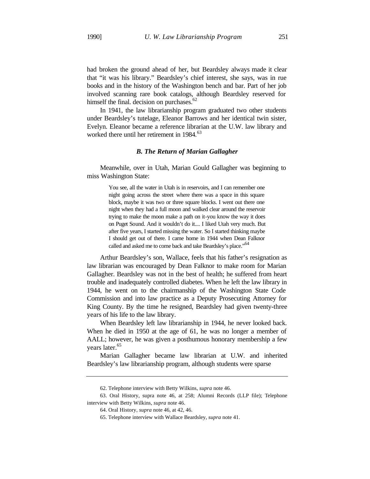had broken the ground ahead of her, but Beardsley always made it clear that "it was his library." Beardsley's chief interest, she says, was in rue books and in the history of the Washington bench and bar. Part of her job involved scanning rare book catalogs, although Beardsley reserved for himself the final. decision on purchases.<sup>62</sup>

In 1941, the law librarianship program graduated two other students under Beardsley's tutelage, Eleanor Barrows and her identical twin sister, Evelyn. Eleanor became a reference librarian at the U.W. law library and worked there until her retirement in  $1984$ .<sup>63</sup>

#### *B. The Return of Marian Gallagher*

Meanwhile, over in Utah, Marian Gould Gallagher was beginning to miss Washington State:

> You see, all the water in Utah is in reservoirs, and I can remember one night going across the street where there was a space in this square block, maybe it was two or three square blocks. I went out there one night when they had a full moon and walked clear around the reservoir trying to make the moon make a path on it-you know the way it does on Puget Sound. And it wouldn't do it.... I liked Utah very much. But after five years, I started missing the water. So I started thinking maybe I should get out of there. I came home in 1944 when Dean Falknor called and asked me to come back and take Beardsley's place."<sup>64</sup>

Arthur Beardsley's son, Wallace, feels that his father's resignation as law librarian was encouraged by Dean Falknor to make room for Marian Gallagher. Beardsley was not in the best of health; he suffered from heart trouble and inadequately controlled diabetes. When he left the law library in 1944, he went on to the chairmanship of the Washington State Code Commission and into law practice as a Deputy Prosecuting Attorney for King County. By the time he resigned, Beardsley had given twenty-three years of his life to the law library.

When Beardsley left law librarianship in 1944, he never looked back. When he died in 1950 at the age of 61, he was no longer a member of AALL; however, he was given a posthumous honorary membership a few years later.<sup>65</sup>

Marian Gallagher became law librarian at U.W. and inherited Beardsley's law librarianship program, although students were sparse

<sup>62.</sup> Telephone interview with Betty Wilkins, *supra* note 46.

<sup>63.</sup> Oral History, supra note 46, at 258; Alumni Records (LLP file); Telephone interview with Betty Wilkins, *supra* note 46.

<sup>64.</sup> Oral History, *supra* note 46, at 42, 46.

<sup>65.</sup> Telephone interview with Wallace Beardsley, *supra* note 41.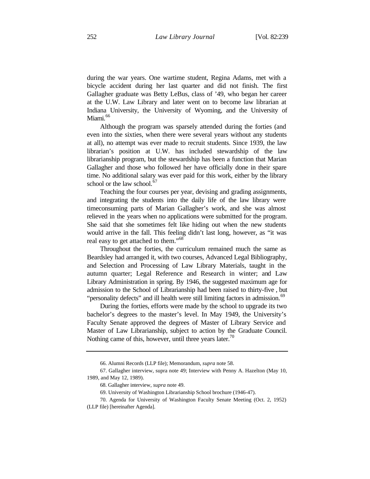during the war years. One wartime student, Regina Adams, met with a bicycle accident during her last quarter and did not finish. The first Gallagher graduate was Betty LeBus, class of '49, who began her career at the U.W. Law Library and later went on to become law librarian at Indiana University, the University of Wyoming, and the University of Miami.<sup>66</sup>

Although the program was sparsely attended during the forties (and even into the sixties, when there were several years without any students at all), no attempt was ever made to recruit students. Since 1939, the law librarian's position at U.W. has included stewardship of the law librarianship program, but the stewardship has been a function that Marian Gallagher and those who followed her have officially done in their spare time. No additional salary was ever paid for this work, either by the library school or the law school. $67$ 

Teaching the four courses per year, devising and grading assignments, and integrating the students into the daily life of the law library were timeconsuming parts of Marian Gallagher's work, and she was almost relieved in the years when no applications were submitted for the program. She said that she sometimes felt like hiding out when the new students would arrive in the fall. This feeling didn't last long, however, as "it was real easy to get attached to them."<sup>68</sup>

Throughout the forties, the curriculum remained much the same as Beardsley had arranged it, with two courses, Advanced Legal Bibliography, and Selection and Processing of Law Library Materials, taught in the autumn quarter; Legal Reference and Research in winter; and Law Library Administration in spring. By 1946, the suggested maximum age for admission to the School of Librarianship had been raised to thirty-five , but "personality defects" and ill health were still limiting factors in admission.<sup>69</sup>

During the forties, efforts were made by the school to upgrade its two bachelor's degrees to the master's level. In May 1949, the University's Faculty Senate approved the degrees of Master of Library Service and Master of Law Librarianship, subject to action by the Graduate Council. Nothing came of this, however, until three years later.<sup>70</sup>

<sup>66.</sup> Alumni Records (LLP file); Memorandum, *supra* note 58.

<sup>67.</sup> Gallagher interview, supra note 49; Interview with Penny A. Hazelton (May 10, 1989, and May 12, 1989).

<sup>68.</sup> Gallagher interview, *supra* note 49.

<sup>69.</sup> University of Washington Librarianship School brochure (1946-47).

<sup>70.</sup> Agenda for University of Washington Faculty Senate Meeting (Oct. 2, 1952)

<sup>(</sup>LLP file) [hereinafter Agenda].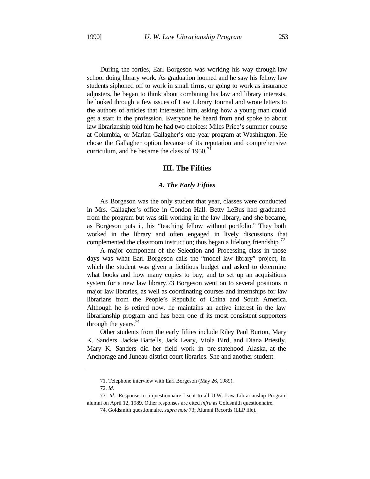During the forties, Earl Borgeson was working his way through law school doing library work. As graduation loomed and he saw his fellow law students siphoned off to work in small firms, or going to work as insurance adjusters, he began to think about combining his law and library interests. lie looked through a few issues of Law Library Journal and wrote letters to the authors of articles that interested him, asking how a young man could get a start in the profession. Everyone he heard from and spoke to about law librarianship told him he had two choices: Miles Price's summer course at Columbia, or Marian Gallagher's one-year program at Washington. He chose the Gallagher option because of its reputation and comprehensive curriculum, and he became the class of  $1950$ .<sup>71</sup>

## **III. The Fifties**

#### *A. The Early Fifties*

As Borgeson was the only student that year, classes were conducted in Mrs. Gallagher's office in Condon Hall. Betty LeBus had graduated from the program but was still working in the law library, and she became, as Borgeson puts it, his "teaching fellow without portfolio." They both worked in the library and often engaged in lively discussions that complemented the classroom instruction; thus began a lifelong friendship.<sup>72</sup>

A major component of the Selection and Processing class in those days was what Earl Borgeson calls the "model law library" project, in which the student was given a fictitious budget and asked to determine what books and how many copies to buy, and to set up an acquisitions system for a new law library.73 Borgeson went on to several positions in major law libraries, as well as coordinating courses and internships for law librarians from the People's Republic of China and South America. Although he is retired now, he maintains an active interest in the law librarianship program and has been one of its most consistent supporters through the years.<sup>74</sup>

Other students from the early fifties include Riley Paul Burton, Mary K. Sanders, Jackie Bartells, Jack Leary, Viola Bird, and Diana Priestly. Mary K. Sanders did her field work in pre-statehood Alaska, at the Anchorage and Juneau district court libraries. She and another student

<sup>71.</sup> Telephone interview with Earl Borgeson (May 26, 1989).

<sup>72.</sup> *Id.*

<sup>73.</sup> *Id*.; Response to a questionnaire I sent to all U.W. Law Librarianship Program alumni on April 12, 1989. Other responses are cited *infra* as Goldsmith questionnaire.

<sup>74.</sup> Goldsmith questionnaire, *supra note* 73; Alumni Records (LLP file).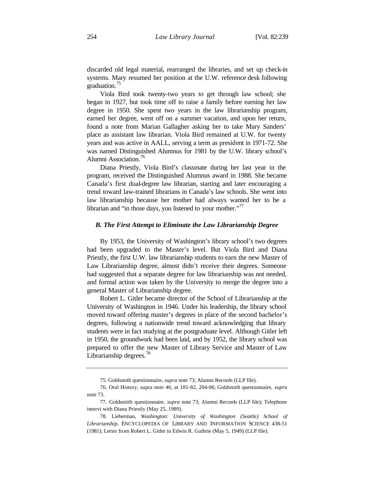discarded old legal material, rearranged the libraries, and set up check-in systems. Mary resumed her position at the U.W. reference desk following graduation.<sup>75</sup>

Viola Bird took twenty-two years to get through law school; she began in 1927, but took time off to raise a family before earning her law degree in 1950. She spent two years in the law librarianship program, earned her degree, went off on a summer vacation, and upon her return, found a note from Marian Gallagher asking her to take Mary Sanders' place as assistant law librarian. Viola Bird remained at U.W. for twenty years and was active in AALL, serving a term as president in 1971-72. She was named Distinguished Alumnus for 1981 by the U.W. library school's Alumni Association.<sup>76</sup>

Diana Priestly, Viola Bird's classmate during her last year in the program, received the Distinguished Alumnus award in 1988. She became Canada's first dual-degree law librarian, starting and later encouraging a trend toward law-trained librarians in Canada's law schools. She went into law librarianship because her mother had always wanted her to be a librarian and "in those days, you listened to your mother."<sup>77</sup>

#### *B. The First Attempt to Eliminate the Law Librarianship Degree*

By 1953, the University of Washington's library school's two degrees had been upgraded to the Master's level. But Viola Bird and Diana Priestly, the first U.W. law librarianship students to earn the new Master of Law Librarianship degree, almost didn't receive their degrees. Someone had suggested that a separate degree for law librarianship was not needed, and formal action was taken by the University to merge the degree into a general Master of Librarianship degree.

Robert L. Gitler became director of the School of Librarianship at the University of Washington in 1946. Under his leadership, the library school moved toward offering master's degrees in place of the second bachelor's degrees, following a nationwide trend toward acknowledging that library students were in fact studying at the postgraduate level. Although Gitler left in 1950, the groundwork had been laid, and by 1952, the library school was prepared to offer the new Master of Library Service and Master of Law Librarianship degrees.<sup>78</sup>

<sup>75.</sup> Goldsmith questionnaire, *supra* note 73; Alumni Records (LLP file).

<sup>76.</sup> Oral History, supra note 46, at 181-82, 204-06; Goldsmith questionnaire, *supra* note 73.

<sup>77.</sup> Goldsmith questionnaire, *supra* note 73; Alumni Records (LLP file); Telephone intervi with Diana Priestly (May 25, 1989).

<sup>78.</sup> Lieberman, *Washington: University of Washington (Seattle) School of Librarianship*, ENCYCLOPEDIA OF LIBRARY AND INFORMATION SCIENCE 438-51 (1981); Letter from Robert L. Gitler to Edwin R. Guthrie (May 5, 1949) (LLP file).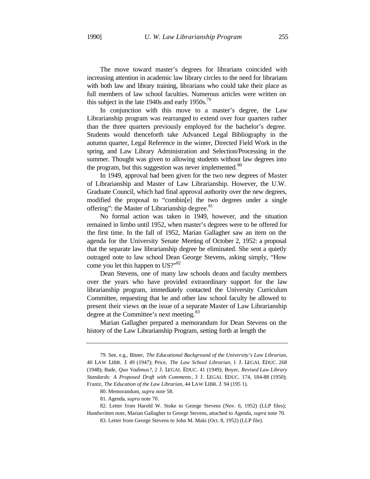The move toward master's degrees for librarians coincided with increasing attention in academic law library circles to the need for librarians with both law and library training, librarians who could take their place as full members of law school faculties. Numerous articles were written on this subject in the late 1940s and early  $1950s$ .<sup>79</sup>

In conjunction with this move to a master's degree, the Law Librarianship program was rearranged to extend over four quarters rather than the three quarters previously employed for the bachelor's degree. Students would thenceforth take Advanced Legal Bibliography in the autumn quarter, Legal Reference in the winter, Directed Field Work in the spring, and Law Library Administration and Selection/Processing in the summer. Thought was given to allowing students without law degrees into the program, but this suggestion was never implemented.<sup>80</sup>

In 1949, approval had been given for the two new degrees of Master of Librarianship and Master of Law Librarianship. However, the U.W. Graduate Council, which had final approval authority over the new degrees, modified the proposal to "combin[e] the two degrees under a single offering": the Master of Librarianship degree.<sup>81</sup>

No formal action was taken in 1949, however, and the situation remained in limbo until 1952, when master's degrees were to be offered for the first time. In the fall of 1952, Marian Gallagher saw an item on the agenda for the University Senate Meeting of October 2, 1952: a proposal that the separate law librarianship degree be eliminated. She sent a quietly outraged note to law school Dean George Stevens, asking simply, "How come you let this happen to US?"<sup>82</sup>

Dean Stevens, one of many law schools deans and faculty members over the years who have provided extraordinary support for the law librarianship program, immediately contacted the University Curriculum Committee, requesting that he and other law school faculty be allowed to present their views on the issue of a separate Master of Law Librarianship degree at the Committee's next meeting.<sup>83</sup>

Marian Gallagher prepared a memorandum for Dean Stevens on the history of the Law Librarianship Program, setting forth at length the

<sup>79.</sup> See, e.g., Bitner, *The Educational Background of the University's Law Librarian*, 40 LAW LIBR. J. 49 (1947); Price, *The Law School Librarian*, 1 J. LEGAL EDUC. 268 (1948); Bade, *Quo Vadimus?*, 2 J. LEGAL EDUC. 41 (1949); Boyer, *Revised Law Library Standards: A Proposed Draft with Comments*, 3 J. LEGAL EDUC. 174, 184-88 (1950); Frantz, *The Education of the Law Librarian*, 44 LAW LIBR. J. 94 (195 1).

<sup>80.</sup> Memorandum, *supra* note 58.

<sup>81.</sup> Agenda, *supra* note 70.

<sup>82.</sup> Letter from Harold W. Stoke to George Stevens (Nov. 6, 1952) (LLP files); Handwritten note, Marian Gallagher to George Stevens, attached to Agenda, *supra* note 70.

<sup>83.</sup> Letter from George Stevens to John M. Maki (Oct. 8, 1952) (LLP file).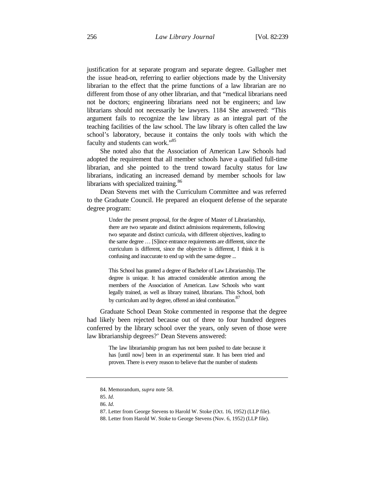justification for at separate program and separate degree. Gallagher met the issue head-on, referring to earlier objections made by the University librarian to the effect that the prime functions of a law librarian are no different from those of any other librarian, and that "medical librarians need not be doctors; engineering librarians need not be engineers; and law librarians should not necessarily be lawyers. 1184 She answered: "This argument fails to recognize the law library as an integral part of the teaching facilities of the law school. The law library is often called the law school's laboratory, because it contains the only tools with which the faculty and students can work."<sup>85</sup>

She noted also that the Association of American Law Schools had adopted the requirement that all member schools have a qualified full-time librarian, and she pointed to the trend toward faculty status for law librarians, indicating an increased demand by member schools for law librarians with specialized training.<sup>86</sup>

Dean Stevens met with the Curriculum Committee and was referred to the Graduate Council. He prepared an eloquent defense of the separate degree program:

> Under the present proposal, for the degree of Master of Librarianship, there are two separate and distinct admissions requirements, following two separate and distinct curricula, with different objectives, leading to the same degree … [S]ince entrance requirements are different, since the curriculum is different, since the objective is different, I think it is confusing and inaccurate to end up with the same degree ...

> This School has granted a degree of Bachelor of Law Librarianship. The degree is unique. It has attracted considerable attention among the members of the Association of American. Law Schools who want legally trained, as well as library trained, librarians. This School, both by curriculum and by degree, offered an ideal combination.<sup>87</sup>

Graduate School Dean Stoke commented in response that the degree had likely been rejected because out of three to four hundred degrees conferred by the library school over the years, only seven of those were law librarianship degrees?' Dean Stevens answered:

> The law librarianship program has not been pushed to date because it has [until now] been in an experimental state. It has been tried and proven. There is every reason to believe that the number of students

<sup>84.</sup> Memorandum, *supra* note 58.

<sup>85.</sup> *Id*.

<sup>86.</sup> *Id*.

<sup>87.</sup> Letter from George Stevens to Harold W. Stoke (Oct. 16, 1952) (LLP file).

<sup>88.</sup> Letter from Harold W. Stoke to George Stevens (Nov. 6, 1952) (LLP file).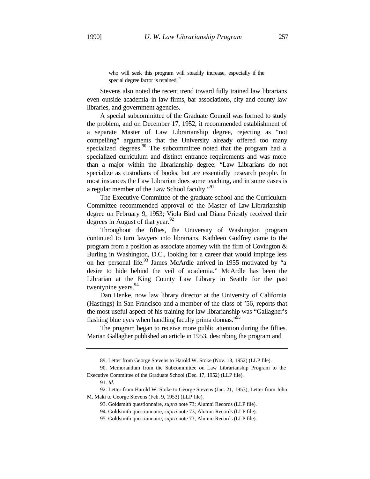who will seek this program will steadily increase, especially if the special degree factor is retained.<sup>89</sup>

Stevens also noted the recent trend toward fully trained law librarians even outside academia -in law firms, bar associations, city and county law libraries, and government agencies.

A special subcommittee of the Graduate Council was formed to study the problem, and on December 17, 1952, it recommended establishment of a separate Master of Law Librarianship degree, rejecting as "not compelling" arguments that the University already offered too many specialized degrees.<sup>90</sup> The subcommittee noted that the program had a specialized curriculum and distinct entrance requirements and was more than a major within the librarianship degree: "Law Librarians do not specialize as custodians of books, but are essentially research people. In most instances the Law Librarian does some teaching, and in some cases is a regular member of the Law School faculty."<sup>91</sup>

The Executive Committee of the graduate school and the Curriculum Committee recommended approval of the Master of Law Librarianship degree on February 9, 1953; Viola Bird and Diana Priestly received their degrees in August of that year. $92$ 

Throughout the fifties, the University of Washington program continued to turn lawyers into librarians. Kathleen Godfrey came to the program from a position as associate attorney with the firm of Covington & Burling in Washington, D.C., looking for a career that would impinge less on her personal life.<sup>93</sup> James McArdle arrived in 1955 motivated by "a desire to hide behind the veil of academia." McArdle has been the Librarian at the King County Law Library in Seattle for the past twentynine years.<sup>94</sup>

Dan Henke, now law library director at the University of California (Hastings) in San Francisco and a member of the class of '56, reports that the most useful aspect of his training for law librarianship was "Gallagher's flashing blue eyes when handling faculty prima donnas."<sup>95</sup>

The program began to receive more public attention during the fifties. Marian Gallagher published an article in 1953, describing the program and

<sup>89.</sup> Letter from George Stevens to Harold W. Stoke (Nov. 13, 1952) (LLP file).

<sup>90.</sup> Memorandum from the Subcommittee on Law Librarianship Program to the Executive Committee of the Graduate School (Dec. 17, 1952) (LLP file).

<sup>91.</sup> *Id*.

<sup>92.</sup> Letter from Harold W. Stoke to George Stevens (Jan. 21, 1953); Letter from John M. Maki to George Stevens (Feb. 9, 1953) (LLP file).

<sup>93.</sup> Goldsmith questionnaire, *supra* note 73; Alumni Records (LLP file).

<sup>94.</sup> Goldsmith questionnaire, *supra* note 73; Alumni Records (LLP file).

<sup>95.</sup> Goldsmith questionnaire, *supra* note 73; Alumni Records (LLP file).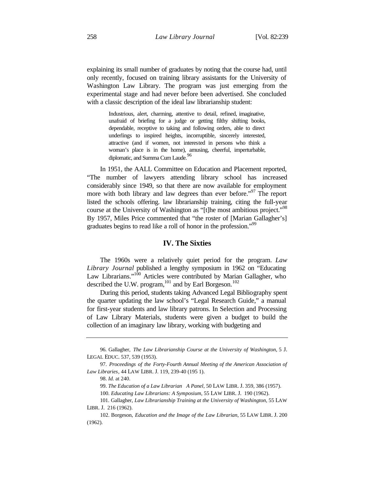explaining its small number of graduates by noting that the course had, until only recently, focused on training library assistants for the University of Washington Law Library. The program was just emerging from the experimental stage and had never before been advertised. She concluded with a classic description of the ideal law librarianship student:

> Industrious, alert, charming, attentive to detail, refined, imaginative, unafraid of briefing for a judge or getting filthy shifting books, dependable, receptive to taking and following orders, able to direct underlings to inspired heights, incorruptible, sincerely interested, attractive (and if women, not interested in persons who think a woman's place is in the home), amusing, cheerful, imperturbable, diplomatic, and Summa Cum Laude.<sup>96</sup>

In 1951, the AALL Committee on Education and Placement reported, "The number of lawyers attending library school has increased considerably since 1949, so that there are now available for employment more with both library and law degrees than ever before."<sup>97</sup> The report listed the schools offering. law librarianship training, citing the full-year course at the University of Washington as "[t]he most ambitious project."<sup>98</sup> By 1957, Miles Price commented that "the roster of [Marian Gallagher's] graduates begins to read like a roll of honor in the profession."<sup>99</sup>

## **IV. The Sixties**

The 1960s were a relatively quiet period for the program. *Law Library Journal* published a lengthy symposium in 1962 on "Educating Law Librarians."<sup>100</sup> Articles were contributed by Marian Gallagher, who described the U.W. program,<sup>101</sup> and by Earl Borgeson.<sup>102</sup>

During this period, students taking Advanced Legal Bibliography spent the quarter updating the law school's "Legal Research Guide," a manual for first-year students and law library patrons. In Selection and Processing of Law Library Materials, students were given a budget to build the collection of an imaginary law library, working with budgeting and

99. *The Education of a Law Librarian* A Panel, 50 LAW LIBR. J. 359, 386 (1957).

100. *Educating Law Librarians: A Symposium*, 55 LAW LIBR. J. 190 (1962).

<sup>96.</sup> Gallagher, *The Law Librarianship Course at the University of Washington*, 5 J. LEGAL EDUC. 537, 539 (1953).

<sup>97.</sup> *Proceedings of the Forty-Fourth Annual Meeting of the American Association of Law Libraries*, 44 LAW LIBR. J. 119, 239-40 (195 1).

<sup>98.</sup> *Id.* at 240.

<sup>101.</sup> Gallagher, *Law Librarianship Training at the University of Washington*, 55 LAW LIBR. J. 216 (1962).

<sup>102.</sup> Borgeson, *Education and the Image of the Law Librarian*, 55 LAW LIBR. J. 200 (1962).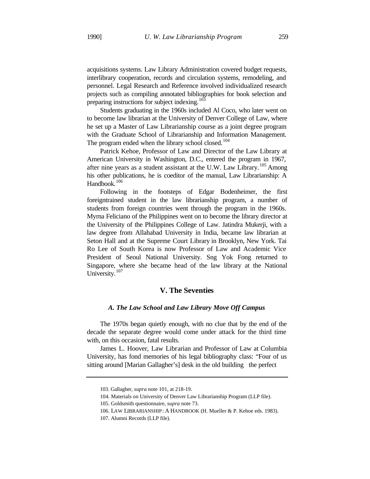acquisitions systems. Law Library Administration covered budget requests, interlibrary cooperation, records and circulation systems, remodeling, and personnel. Legal Research and Reference involved individualized research projects such as compiling annotated bibliographies for book selection and preparing instructions for subject indexing.<sup>103</sup>

Students graduating in the 1960s included Al Coco, who later went on to become law librarian at the University of Denver College of Law, where he set up a Master of Law Librarianship course as a joint degree program with the Graduate School of Librarianship and Information Management. The program ended when the library school closed.<sup>104</sup>

Patrick Kehoe, Professor of Law and Director of the Law Library at American University in Washington, D.C., entered the program in 1967, after nine years as a student assistant at the U.W. Law Library.<sup>105</sup> Among his other publications, he is coeditor of the manual, Law Librarianship: A Handbook.<sup>106</sup>

Following in the footsteps of Edgar Bodenheimer, the first foreigntrained student in the law librarianship program, a number of students from foreign countries went through the program in the 1960s. Myrna Feliciano of the Philippines went on to become the library director at the University of the Philippines College of Law. Jatindra Mukerji, with a law degree from Allahabad University in India, became law librarian at Seton Hall and at the Supreme Court Library in Brooklyn, New York. Tai Ro Lee of South Korea is now Professor of Law and Academic Vice President of Seoul National University. Sng Yok Fong returned to Singapore, where she became head of the law library at the National University.<sup>107</sup>

## **V. The Seventies**

### *A. The Law School and Law Library Move Off Campus*

The 1970s began quietly enough, with no clue that by the end of the decade the separate degree would come under attack for the third time with, on this occasion, fatal results.

James L. Hoover, Law Librarian and Professor of Law at Columbia University, has fond memories of his legal bibliography class: "Four of us sitting around [Marian Gallagher's] desk in the old building the perfect

<sup>103.</sup> Gallagher, *supra* note 101, at 218-19.

<sup>104.</sup> Materials on University of Denver Law Librarianship Program (LLP file).

<sup>105.</sup> Goldsmith questionnaire, *supra* note 73.

<sup>106.</sup> LAW LIBRARIANSHIP: A HANDBOOK (H. Mueller & P. Kehoe eds. 1983).

<sup>107.</sup> Alumni Records (LLP file).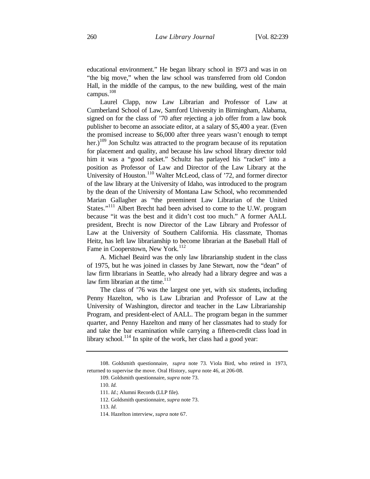educational environment." He began library school in 1973 and was in on "the big move," when the law school was transferred from old Condon Hall, in the middle of the campus, to the new building, west of the main campus. 108

Laurel Clapp, now Law Librarian and Professor of Law at Cumberland School of Law, Samford University in Birmingham, Alabama, signed on for the class of '70 after rejecting a job offer from a law book publisher to become an associate editor, at a salary of \$5,400 a year. (Even the promised increase to \$6,000 after three years wasn't enough to tempt her.)<sup>109</sup> Jon Schultz was attracted to the program because of its reputation for placement and quality, and because his law school library director told him it was a "good racket." Schultz has parlayed his "racket" into a position as Professor of Law and Director of the Law Library at the University of Houston.<sup>110</sup> Walter McLeod, class of '72, and former director of the law library at the University of Idaho, was introduced to the program by the dean of the University of Montana Law School, who recommended Marian Gallagher as "the preeminent Law Librarian of the United States."<sup>111</sup> Albert Brecht had been advised to come to the U.W. program because "it was the best and it didn't cost too much." A former AALL president, Brecht is now Director of the Law Library and Professor of Law at the University of Southern California. His classmate, Thomas Heitz, has left law librarianship to become librarian at the Baseball Hall of Fame in Cooperstown, New York.<sup>112</sup>

A. Michael Beaird was the only law librarianship student in the class of 1975, but he was joined in classes by Jane Stewart, now the "dean" of law firm librarians in Seattle, who already had a library degree and was a law firm librarian at the time. $113$ 

The class of '76 was the largest one yet, with six students, including Penny Hazelton, who is Law Librarian and Professor of Law at the University of Washington, director and teacher in the Law Librarianship Program, and president-elect of AALL. The program began in the summer quarter, and Penny Hazelton and many of her classmates had to study for and take the bar examination while carrying a fifteen-credit class load in library school.<sup>114</sup> In spite of the work, her class had a good year:

<sup>108.</sup> Goldsmith questionnaire, *supra* note 73. Viola Bird, who retired in 1973, returned to supervise the move. Oral History, *supra* note 46, at 206-08.

<sup>109.</sup> Goldsmith questionnaire, *supra* note 73.

<sup>110.</sup> *Id.*

<sup>111.</sup> *Id*.; Alumni Records (LLP file).

<sup>112.</sup> Goldsmith questionnaire, *supra* note 73.

<sup>113.</sup> *Id*.

<sup>114.</sup> Hazelton interview, *supra* note 67.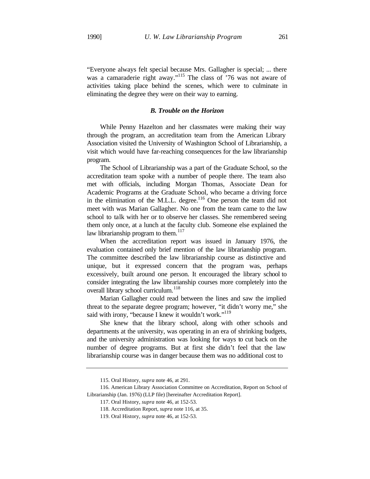"Everyone always felt special because Mrs. Gallagher is special; ... there was a camaraderie right away."<sup>115</sup> The class of '76 was not aware of activities taking place behind the scenes, which were to culminate in eliminating the degree they were on their way to earning.

## *B. Trouble on the Horizon*

While Penny Hazelton and her classmates were making their way through the program, an accreditation team from the American Library Association visited the University of Washington School of Librarianship, a visit which would have far-reaching consequences for the law librarianship program.

The School of Librarianship was a part of the Graduate School, so the accreditation team spoke with a number of people there. The team also met with officials, including Morgan Thomas, Associate Dean for Academic Programs at the Graduate School, who became a driving force in the elimination of the M.L.L. degree. $116$  One person the team did not meet with was Marian Gallagher. No one from the team came to the law school to talk with her or to observe her classes. She remembered seeing them only once, at a lunch at the faculty club. Someone else explained the law librarianship program to them. $117$ 

When the accreditation report was issued in January 1976, the evaluation contained only brief mention of the law librarianship program. The committee described the law librarianship course as distinctive and unique, but it expressed concern that the program was, perhaps excessively, built around one person. It encouraged the library school to consider integrating the law librarianship courses more completely into the overall library school curriculum.<sup>118</sup>

Marian Gallagher could read between the lines and saw the implied threat to the separate degree program; however, "it didn't worry me," she said with irony, "because I knew it wouldn't work."<sup>119</sup>

She knew that the library school, along with other schools and departments at the university, was operating in an era of shrinking budgets, and the university administration was looking for ways to cut back on the number of degree programs. But at first she didn't feel that the law librarianship course was in danger because them was no additional cost to

<sup>115.</sup> Oral History, *supra* note 46, at 291.

<sup>116.</sup> American Library Association Committee on Accreditation, Report on School of Librarianship (Jan. 1976) (LLP file) [hereinafter Accreditation Report].

<sup>117.</sup> Oral History, *supra* note 46, at 152-53.

<sup>118.</sup> Accreditation Report, *supra* note 116, at 35.

<sup>119.</sup> Oral History, *supra* note 46, at 152-53.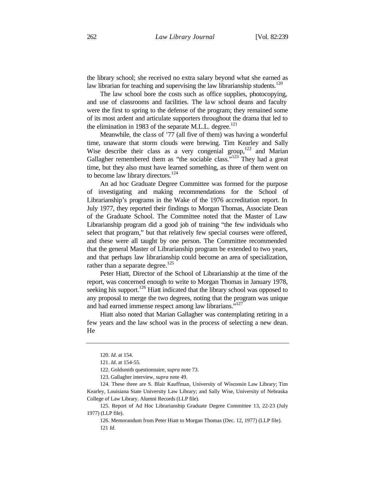the library school; she received no extra salary beyond what she earned as law librarian for teaching and supervising the law librarianship students. $120$ 

The law school bore the costs such as office supplies, photocopying, and use of classrooms and facilities. The law school deans and faculty were the first to spring to the defense of the program; they remained some of its most ardent and articulate supporters throughout the drama that led to the elimination in 1983 of the separate M.L.L. degree.<sup>121</sup>

Meanwhile, the class of '77 (all five of them) was having a wonderful time, unaware that storm clouds were brewing. Tim Kearley and Sally Wise describe their class as a very congenial group,<sup>122</sup> and Marian Gallagher remembered them as "the sociable class."<sup>123</sup> They had a great time, but they also must have learned something, as three of them went on to become law library directors.<sup>124</sup>

An ad hoc Graduate Degree Committee was formed for the purpose of investigating and making recommendations for the School of Librarianship's programs in the Wake of the 1976 accreditation report. In July 1977, they reported their findings to Morgan Thomas, Associate Dean of the Graduate School. The Committee noted that the Master of Law Librarianship program did a good job of training "the few individuals who select that program," but that relatively few special courses were offered, and these were all taught by one person. The Committee recommended that the general Master of Librarianship program be extended to two years, and that perhaps law librarianship could become an area of specialization, rather than a separate degree.<sup>125</sup>

Peter Hiatt, Director of the School of Librarianship at the time of the report, was concerned enough to write to Morgan Thomas in January 1978, seeking his support.<sup>126</sup> Hiatt indicated that the library school was opposed to any proposal to merge the two degrees, noting that the program was unique and had earned immense respect among law librarians."<sup>127</sup>

Hiatt also noted that Marian Gallagher was contemplating retiring in a few years and the law school was in the process of selecting a new dean. He

<sup>120.</sup> *Id*. at 154.

<sup>121.</sup> *Id*. at 154-55.

<sup>122.</sup> Goldsmith questionnaire, *supra* note 73.

<sup>123.</sup> Gallagher interview, *supra* note 49.

<sup>124.</sup> These three are S. Blair Kauffman, University of Wisconsin Law Library; Tim Kearley, Louisiana State University Law Library; and Sally Wise, University of Nebraska College of Law Library. Alumni Records (LLP file).

<sup>125.</sup> Report of Ad Hoc Librarianship Graduate Degree Committee 13, 22-23 (July 1977) (LLP file).

<sup>126.</sup> Memorandum from Peter Hiatt to Morgan Thomas (Dec. 12, 1977) (LLP file). 121 *Id.*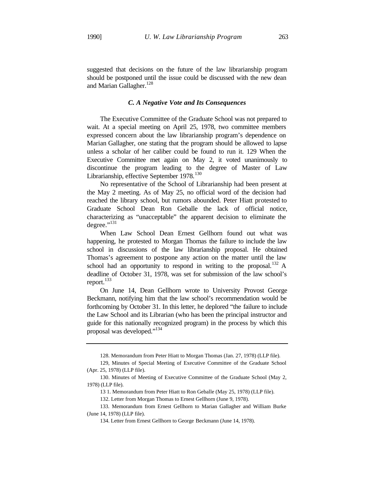suggested that decisions on the future of the law librarianship program should be postponed until the issue could be discussed with the new dean and Marian Gallagher.<sup>128</sup>

## *C. A Negative Vote and Its Consequences*

The Executive Committee of the Graduate School was not prepared to wait. At a special meeting on April 25, 1978, two committee members expressed concern about the law librarianship program's dependence on Marian Gallagher, one stating that the program should be allowed to lapse unless a scholar of her caliber could be found to run it. 129 When the Executive Committee met again on May 2, it voted unanimously to discontinue the program leading to the degree of Master of Law Librarianship, effective September 1978.<sup>130</sup>

No representative of the School of Librarianship had been present at the May 2 meeting. As of May 25, no official word of the decision had reached the library school, but rumors abounded. Peter Hiatt protested to Graduate School Dean Ron Geballe the lack of official notice, characterizing as "unacceptable" the apparent decision to eliminate the degree." $^{131}$ 

When Law School Dean Ernest Gellhorn found out what was happening, he protested to Morgan Thomas the failure to include the law school in discussions of the law librarianship proposal. He obtained Thomas's agreement to postpone any action on the matter until the law school had an opportunity to respond in writing to the proposal.<sup>132</sup> A deadline of October 31, 1978, was set for submission of the law school's report.<sup>133</sup>

On June 14, Dean Gellhorn wrote to University Provost George Beckmann, notifying him that the law school's recommendation would be forthcoming by October 31. In this letter, he deplored "the failure to include the Law School and its Librarian (who has been the principal instructor and guide for this nationally recognized program) in the process by which this proposal was developed."<sup>134</sup>

<sup>128.</sup> Memorandum from Peter Hiatt to Morgan Thomas (Jan. 27, 1978) (LLP file).

<sup>129,</sup> Minutes of Special Meeting of Executive Committee of the Graduate School (Apr. 25, 1978) (LLP file).

<sup>130.</sup> Minutes of Meeting of Executive Committee of the Graduate School (May 2, 1978) (LLP file).

<sup>13 1.</sup> Memorandum from Peter Hiatt to Ron Geballe (May 25, 1978) (LLP file).

<sup>132.</sup> Letter from Morgan Thomas to Ernest Gellhorn (June 9, 1978).

<sup>133.</sup> Memorandum from Ernest Gellhorn to Marian Gallagher and William Burke (June 14, 1978) (LLP file).

<sup>134.</sup> Letter from Ernest Gellhorn to George Beckmann (June 14, 1978).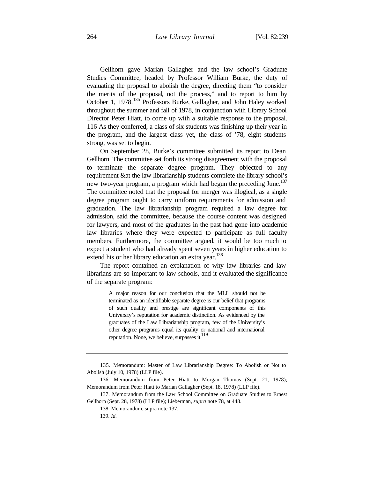Gellhorn gave Marian Gallagher and the law school's Graduate Studies Committee, headed by Professor William Burke, the duty of evaluating the proposal to abolish the degree, directing them "to consider the merits of the proposal, not the process," and to report to him by October 1, 1978.<sup>135</sup> Professors Burke, Gallagher, and John Haley worked throughout the summer and fall of 1978, in conjunction with Library School Director Peter Hiatt, to come up with a suitable response to the proposal. 116 As they conferred, a class of six students was finishing up their year in the program, and the largest class yet, the class of '78, eight students strong, was set to begin.

On September 28, Burke's committee submitted its report to Dean Gellhorn. The committee set forth its strong disagreement with the proposal to terminate the separate degree program. They objected to any requirement &at the law librarianship students complete the library school's new two-year program, a program which had begun the preceding June.<sup>137</sup> The committee noted that the proposal for merger was illogical, as a single degree program ought to carry uniform requirements for admission and graduation. The law librarianship program required a law degree for admission, said the committee, because the course content was designed for lawyers, and most of the graduates in the past had gone into academic law libraries where they were expected to participate as full faculty members. Furthermore, the committee argued, it would be too much to expect a student who had already spent seven years in higher education to extend his or her library education an extra year.<sup>138</sup>

The report contained an explanation of why law libraries and law librarians are so important to law schools, and it evaluated the significance of the separate program:

> A major reason for our conclusion that the MLL should not be terminated as an identifiable separate degree is our belief that programs of such quality and prestige are significant components of this University's reputation for academic distinction. As evidenced by the graduates of the Law Librarianship program, few of the University's other degree programs equal its quality or national and international reputation. None, we believe, surpasses it. $119$

137. Memorandum from the Law School Committee on Graduate Studies to Ernest Gellhorn (Sept. 28, 1978) (LLP file); Lieberman, *supra* note 78, at 448.

138. Memorandum, supra note 137.

<sup>135.</sup> Memorandum: Master of Law Librarianship Degree: To Abolish or Not to Abolish (July 10, 1978) (LLP file).

<sup>136.</sup> Memorandum from Peter Hiatt to Morgan Thomas (Sept. 21, 1978); Memorandum from Peter Hiatt to Marian Gallagher (Sept. 18, 1978) (LLP file).

<sup>139.</sup> *Id.*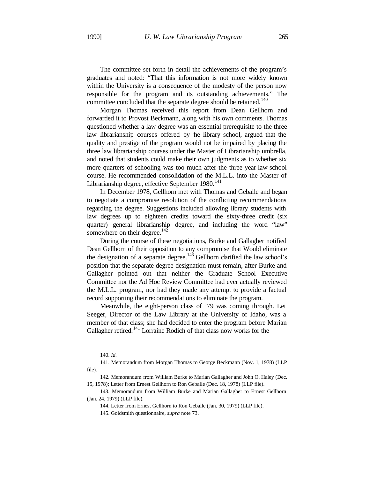The committee set forth in detail the achievements of the program's graduates and noted: "That this information is not more widely known within the University is a consequence of the modesty of the person now responsible for the program and its outstanding achievements." The committee concluded that the separate degree should be retained.<sup>140</sup>

Morgan Thomas received this report from Dean Gellhorn and forwarded it to Provost Beckmann, along with his own comments. Thomas questioned whether a law degree was an essential prerequisite to the three law librarianship courses offered by the library school, argued that the quality and prestige of the program would not be impaired by placing the three law librarianship courses under the Master of Librarianship umbrella, and noted that students could make their own judgments as to whether six more quarters of schooling was too much after the three-year law school course. He recommended consolidation of the M.L.L. into the Master of Librarianship degree, effective September  $1980$ .<sup>141</sup>

In December 1978, Gellhorn met with Thomas and Geballe and began to negotiate a compromise resolution of the conflicting recommendations regarding the degree. Suggestions included allowing library students with law degrees up to eighteen credits toward the sixty-three credit (six quarter) general librarianship degree, and including the word "law" somewhere on their degree.<sup>142</sup>

During the course of these negotiations, Burke and Gallagher notified Dean Gellhorn of their opposition to any compromise that Would eliminate the designation of a separate degree.<sup>143</sup> Gellhorn clarified the law school's position that the separate degree designation must remain, after Burke and Gallagher pointed out that neither the Graduate School Executive Committee nor the Ad Hoc Review Committee had ever actually reviewed the M.L.L. program, nor had they made any attempt to provide a factual record supporting their recommendations to eliminate the program.

Meanwhile, the eight-person class of '79 was coming through. Lei Seeger, Director of the Law Library at the University of Idaho, was a member of that class; she had decided to enter the program before Marian Gallagher retired.<sup>141</sup> Lorraine Rodich of that class now works for the

<sup>140.</sup> *Id.*

<sup>141.</sup> Memorandum from Morgan Thomas to George Beckmann (Nov. 1, 1978) (LLP file).

<sup>142.</sup> Memorandum from William Burke to Marian Gallagher and John O. Haley (Dec. 15, 1978); Letter from Ernest Gellhorn to Ron Geballe (Dec. 18, 1978) (LLP file).

<sup>143.</sup> Memorandum from William Burke and Marian Gallagher to Ernest Gellhorn (Jan. 24, 1979) (LLP file).

<sup>144.</sup> Letter from Ernest Gellhorn to Ron Geballe (Jan. 30, 1979) (LLP file).

<sup>145.</sup> Goldsmith questionnaire, *supra* note 73.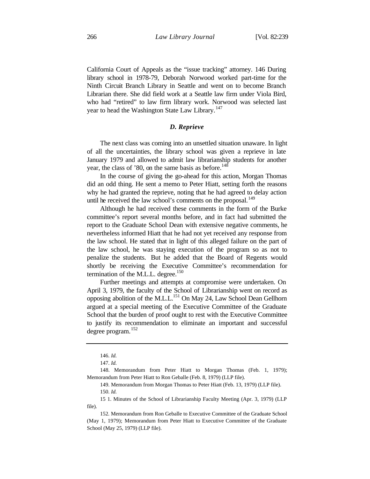California Court of Appeals as the "issue tracking" attorney. 146 During library school in 1978-79, Deborah Norwood worked part-time for the Ninth Circuit Branch Library in Seattle and went on to become Branch Librarian there. She did field work at a Seattle law firm under Viola Bird, who had "retired" to law firm library work. Norwood was selected last year to head the Washington State Law Library.<sup>147</sup>

#### *D. Reprieve*

The next class was coming into an unsettled situation unaware. In light of all the uncertainties, the library school was given a reprieve in late January 1979 and allowed to admit law librarianship students for another year, the class of  $'80$ , on the same basis as before.<sup>148</sup>

In the course of giving the go-ahead for this action, Morgan Thomas did an odd thing. He sent a memo to Peter Hiatt, setting forth the reasons why he had granted the reprieve, noting that he had agreed to delay action until he received the law school's comments on the proposal. $149$ 

Although he had received these comments in the form of the Burke committee's report several months before, and in fact had submitted the report to the Graduate School Dean with extensive negative comments, he nevertheless informed Hiatt that he had not yet received any response from the law school. He stated that in light of this alleged failure on the part of the law school, he was staying execution of the program so as not to penalize the students. But he added that the Board of Regents would shortly be receiving the Executive Committee's recommendation for termination of the M.L.L. degree.<sup>150</sup>

Further meetings and attempts at compromise were undertaken. On April 3, 1979, the faculty of the School of Librarianship went on record as opposing abolition of the M.L.L.<sup>151</sup> On May 24, Law School Dean Gellhorn argued at a special meeting of the Executive Committee of the Graduate School that the burden of proof ought to rest with the Executive Committee to justify its recommendation to eliminate an important and successful degree program.<sup>152</sup>

<sup>146.</sup> *Id.*

<sup>147.</sup> *Id.*

<sup>148.</sup> Memorandum from Peter Hiatt to Morgan Thomas (Feb. 1, 1979); Memorandum from Peter Hiatt to Ron Geballe (Feb. 8, 1979) (LLP file).

<sup>149.</sup> Memorandum from Morgan Thomas to Peter Hiatt (Feb. 13, 1979) (LLP file). 150. *Id.*

<sup>15 1.</sup> Minutes of the School of Librarianship Faculty Meeting (Apr. 3, 1979) (LLP file).

<sup>152.</sup> Memorandum from Ron Geballe to Executive Committee of the Graduate School (May 1, 1979); Memorandum from Peter Hiatt to Executive Committee of the Graduate School (May 25, 1979) (LLP file).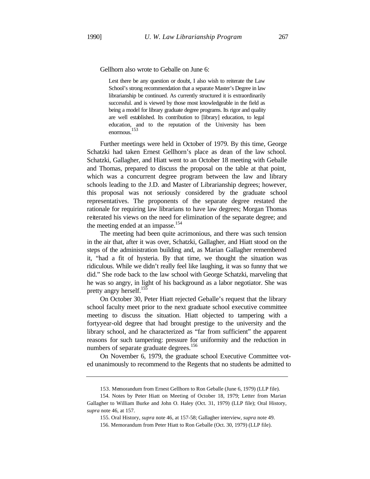Gellhorn also wrote to Geballe on June 6:

Lest there be any question or doubt, I also wish to reiterate the Law School's strong recommendation that a separate Master's Degree in law librarianship be continued. As currently structured it is extraordinarily successful. and is viewed by those most knowledgeable in the field as being a model for library graduate degree programs. Its rigor and quality are well established. Its contribution to [library] education, to legal education, and to the reputation of the University has been enormous. 153

Further meetings were held in October of 1979. By this time, George Schatzki had taken Ernest Gellhorn's place as dean of the law school. Schatzki, Gallagher, and Hiatt went to an October 18 meeting with Geballe and Thomas, prepared to discuss the proposal on the table at that point, which was a concurrent degree program between the law and library schools leading to the J.D. and Master of Librarianship degrees; however, this proposal was not seriously considered by the graduate school representatives. The proponents of the separate degree restated the rationale for requiring law librarians to have law degrees; Morgan Thomas reiterated his views on the need for elimination of the separate degree; and the meeting ended at an impasse.<sup>154</sup>

The meeting had been quite acrimonious, and there was such tension in the air that, after it was over, Schatzki, Gallagher, and Hiatt stood on the steps of the administration building and, as Marian Gallagher remembered it, "had a fit of hysteria. By that time, we thought the situation was ridiculous. While we didn't really feel like laughing, it was so funny that we did." She rode back to the law school with George Schatzki, marveling that he was so angry, in light of his background as a labor negotiator. She was pretty angry herself.<sup>155</sup>

On October 30, Peter Hiatt rejected Geballe's request that the library school faculty meet prior to the next graduate school executive committee meeting to discuss the situation. Hiatt objected to tampering with a fortyyear-old degree that had brought prestige to the university and the library school, and he characterized as "far from sufficient" the apparent reasons for such tampering: pressure for uniformity and the reduction in numbers of separate graduate degrees.<sup>156</sup>

On November 6, 1979, the graduate school Executive Committee voted unanimously to recommend to the Regents that no students be admitted to

<sup>153.</sup> Memorandum from Ernest Gellhorn to Ron Geballe (June 6, 1979) (LLP file).

<sup>154.</sup> Notes by Peter Hiatt on Meeting of October 18, 1979; Letter from Marian Gallagher to William Burke and John O. Haley (Oct. 31, 1979) (LLP file); Oral History, *supra* note 46, at 157.

<sup>155.</sup> Oral History, *supra* note 46, at 157-58; Gallagher interview, *supra* note 49.

<sup>156.</sup> Memorandum from Peter Hiatt to Ron Geballe (Oct. 30, 1979) (LLP file).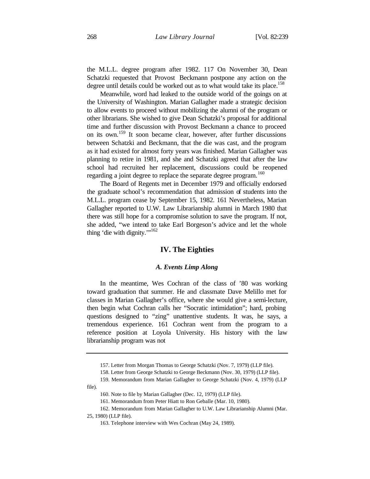the M.L.L. degree program after 1982. 117 On November 30, Dean Schatzki requested that Provost Beckmann postpone any action on the degree until details could be worked out as to what would take its place.<sup>158</sup>

Meanwhile, word had leaked to the outside world of the goings on at the University of Washington. Marian Gallagher made a strategic decision to allow events to proceed without mobilizing the alumni of the program or other librarians. She wished to give Dean Schatzki's proposal for additional time and further discussion with Provost Beckmann a chance to proceed on its own.<sup>159</sup> It soon became clear, however, after further discussions between Schatzki and Beckmann, that the die was cast, and the program as it had existed for almost forty years was finished. Marian Gallagher was planning to retire in 1981, and she and Schatzki agreed that after the law school had recruited her replacement, discussions could be reopened regarding a joint degree to replace the separate degree program.<sup>160</sup>

The Board of Regents met in December 1979 and officially endorsed the graduate school's recommendation that admission of students into the M.L.L. program cease by September 15, 1982. 161 Nevertheless, Marian Gallagher reported to U.W. Law Librarianship alumni in March 1980 that there was still hope for a compromise solution to save the program. If not, she added, "we intend to take Earl Borgeson's advice and let the whole thing 'die with dignity."<sup>162</sup>

## **IV. The Eighties**

## *A. Events Limp Along*

In the meantime, Wes Cochran of the class of '80 was working toward graduation that summer. He and classmate Dave Melillo met for classes in Marian Gallagher's office, where she would give a semi-lecture, then begin what Cochran calls her "Socratic intimidation"; hard, probing questions designed to "zing" unattentive students. It was, he says, a tremendous experience. 161 Cochran went from the program to a reference position at Loyola University. His history with the law librarianship program was not

25, 1980) (LLP file).

<sup>157.</sup> Letter from Morgan Thomas to George Schatzki (Nov. 7, 1979) (LLP file).

<sup>158.</sup> Letter from George Schatzki to George Beckmann (Nov. 30, 1979) (LLP file).

<sup>159.</sup> Memorandum from Marian Gallagher to George Schatzki (Nov. 4, 1979) (LLP file).

<sup>160.</sup> Note to file by Marian Gallagher (Dec. 12, 1979) (LLP file).

<sup>161.</sup> Memorandum from Peter Hiatt to Ron Geballe (Mar. 10, 1980).

<sup>162.</sup> Memorandum from Marian Gallagher to U.W. Law Librarianship Alumni (Mar.

<sup>163.</sup> Telephone interview with Wes Cochran (May 24, 1989).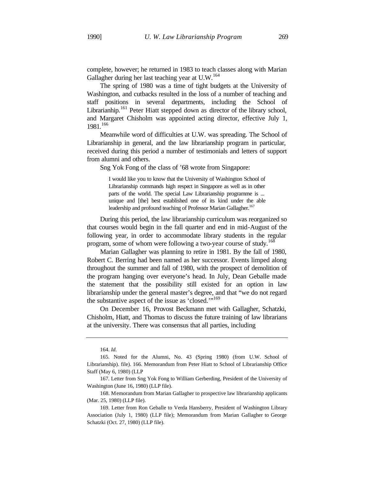complete, however; he returned in 1983 to teach classes along with Marian Gallagher during her last teaching year at U.W.<sup>164</sup>

The spring of 1980 was a time of tight budgets at the University of Washington, and cutbacks resulted in the loss of a number of teaching and staff positions in several departments, including the School of Librarianhip.<sup>161</sup> Peter Hiatt stepped down as director of the library school, and Margaret Chisholm was appointed acting director, effective July 1, 1981.<sup>166</sup>

Meanwhile word of difficulties at U.W. was spreading. The School of Librarianship in general, and the law librarianship program in particular, received during this period a number of testimonials and letters of support from alumni and others.

Sng Yok Fong of the class of '68 wrote from Singapore:

I would like you to know that the University of Washington School of Librarianship commands high respect in Singapore as well as in other parts of the world. The special Law Librarianship programme is ... unique and [the] best established one of its kind under the able leadership and profound teaching of Professor Marian Gallagher.<sup>167</sup>

During this period, the law librarianship curriculum was reorganized so that courses would begin in the fall quarter and end in mid-August of the following year, in order to accommodate library students in the regular program, some of whom were following a two-year course of study.<sup>168</sup>

Marian Gallagher was planning to retire in 1981. By the fall of 1980, Robert C. Berring had been named as her successor. Events limped along throughout the summer and fall of 1980, with the prospect of demolition of the program hanging over everyone's head. In July, Dean Geballe made the statement that the possibility still existed for an option in law librarianship under the general master's degree, and that "we do not regard the substantive aspect of the issue as 'closed."<sup>169</sup>

On December 16, Provost Beckmann met with Gallagher, Schatzki, Chisholm, Hiatt, and Thomas to discuss the future training of law librarians at the university. There was consensus that all parties, including

168. Memorandum from Marian Gallagher to prospective law librarianship applicants (Mar. 25, 1980) (LLP file).

<sup>164.</sup> *Id.*

<sup>165.</sup> Noted for the Alumni, No. 43 (Spring 1980) (from U.W. School of Librarianship). file). 166. Memorandum from Peter Hiatt to School of Librarianship Office Staff (May 6, 1980) (LLP

<sup>167.</sup> Letter from Sng Yok Fong to William Gerberding, President of the University of Washington (June 16, 1980) (LLP file).

<sup>169.</sup> Letter from Ron Geballe to Verda Hansberry, President of Washington Library Association (July 1, 1980) (LLP file); Memorandum from Marian Gallagher to George Schatzki (Oct. 27, 1980) (LLP file).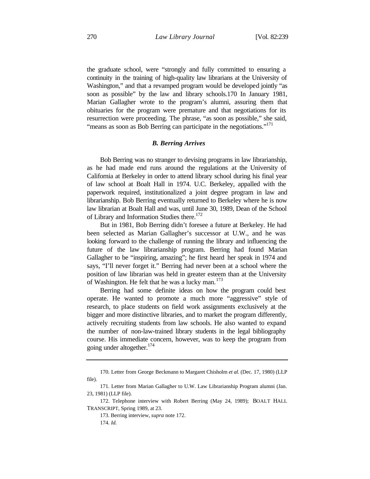the graduate school, were "strongly and fully committed to ensuring a continuity in the training of high-quality law librarians at the University of Washington," and that a revamped program would be developed jointly "as soon as possible" by the law and library schools.170 In January 1981, Marian Gallagher wrote to the program's alumni, assuring them that obituaries for the program were premature and that negotiations for its resurrection were proceeding. The phrase, "as soon as possible," she said, "means as soon as Bob Berring can participate in the negotiations."<sup>171</sup>

#### *B. Berring Arrives*

Bob Berring was no stranger to devising programs in law librarianship, as he had made end runs around the regulations at the University of California at Berkeley in order to attend library school during his final year of law school at Boalt Hall in 1974. U.C. Berkeley, appalled with the paperwork required, institutionalized a joint degree program in law and librarianship. Bob Berring eventually returned to Berkeley where he is now law librarian at Boalt Hall and was, until June 30, 1989, Dean of the School of Library and Information Studies there.<sup>172</sup>

But in 1981, Bob Berring didn't foresee a future at Berkeley. He had been selected as Marian Gallagher's successor at U.W., and he was looking forward to the challenge of running the library and influencing the future of the law librarianship program. Berring had found Marian Gallagher to be "inspiring, amazing"; he first heard her speak in 1974 and says, "I'll never forget it." Berring had never been at a school where the position of law librarian was held in greater esteem than at the University of Washington. He felt that he was a lucky man.<sup>173</sup>

Berring had some definite ideas on how the program could best operate. He wanted to promote a much more "aggressive" style of research, to place students on field work assignments exclusively at the bigger and more distinctive libraries, and to market the program differently, actively recruiting students from law schools. He also wanted to expand the number of non-law-trained library students in the legal bibliography course. His immediate concern, however, was to keep the program from going under altogether. $174$ 

173. Berring interview, *supra* note 172. 174. *Id.*

<sup>170.</sup> Letter from George Beckmann to Margaret Chisholm *et al.* (Dec. 17, 1980) (LLP file).

<sup>171.</sup> Letter from Marian Gallagher to U.W. Law Librarianship Program alumni (Jan. 23, 1981) (LLP file).

<sup>172.</sup> Telephone interview with Robert Berring (May 24, 1989); BOALT HALL TRANSCRIPT, Spring 1989, at 23.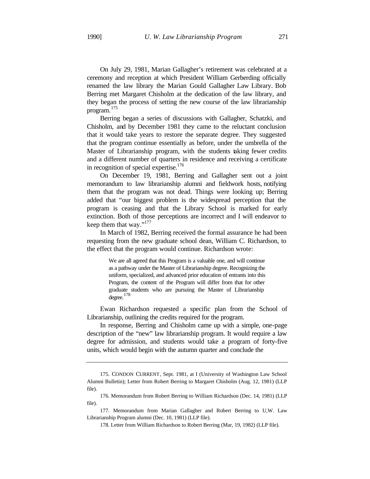On July 29, 1981, Marian Gallagher's retirement was celebrated at a ceremony and reception at which President William Gerberding officially renamed the law library the Marian Gould Gallagher Law Library. Bob Berring met Margaret Chisholm at the dedication of the law library, and they began the process of setting the new course of the law librarianship program. 175

Berring began a series of discussions with Gallagher, Schatzki, and Chisholm, and by December 1981 they came to the reluctant conclusion that it would take years to restore the separate degree. They suggested that the program continue essentially as before, under the umbrella of the Master of Librarianship program, with the students taking fewer credits and a different number of quarters in residence and receiving a certificate in recognition of special expertise.<sup>176</sup>

On December 19, 1981, Berring and Gallagher sent out a joint memorandum to law librarianship alumni and fieldwork hosts, notifying them that the program was not dead. Things were looking up; Berring added that "our biggest problem is the widespread perception that the program is ceasing and that the Library School is marked for early extinction. Both of those perceptions are incorrect and I will endeavor to keep them that way."<sup>177</sup>

In March of 1982, Berring received the formal assurance he had been requesting from the new graduate school dean, William C. Richardson, to the effect that the program would continue. Richardson wrote:

> We are all agreed that this Program is a valuable one, and will continue as a pathway under the Master of Librarianship degree. Recognizing the uniform, specialized, and advanced prior education of entrants into this Program, the content of the Program will differ from that for other graduate students who are pursuing the Master of Librarianship degree.<sup>178</sup>

Ewan Richardson requested a specific plan from the School of Librarianship, outlining the credits required for the program.

In response, Berring and Chisholm came up with a simple, one-page description of the "new" law librarianship program. It would require a law degree for admission, and students would take a program of forty-five units, which would begin with the autumn quarter and conclude the

178. Letter from William Richardson to Robert Berring (Mar, 19, 1982) (LLP file).

<sup>175.</sup> CONDON CURRENT, Sept. 1981, at I (University of Washington Law School Alumni Bulletin); Letter from Robert Berring to Margaret Chisholm (Aug. 12, 1981) (LLP file).

<sup>176.</sup> Memorandum from Robert Berring to William Richardson (Dec. 14, 1981) (LLP file).

<sup>177.</sup> Memorandum from Marian Gallagher and Robert Berring to U,W. Law Librarianship Program alumni (Dec. 10, 1981) (LLP file).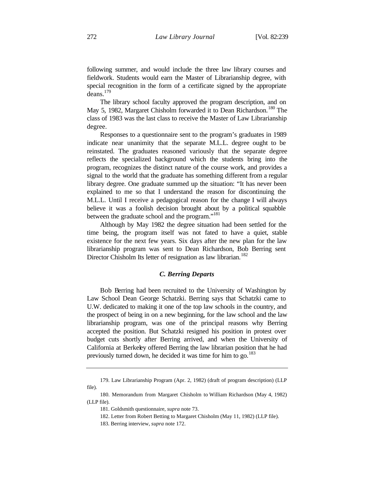following summer, and would include the three law library courses and fieldwork. Students would earn the Master of Librarianship degree, with special recognition in the form of a certificate signed by the appropriate deans.<sup>179</sup>

The library school faculty approved the program description, and on May 5, 1982, Margaret Chisholm forwarded it to Dean Richardson.<sup>180</sup> The class of 1983 was the last class to receive the Master of Law Librarianship degree.

Responses to a questionnaire sent to the program's graduates in 1989 indicate near unanimity that the separate M.L.L. degree ought to be reinstated. The graduates reasoned variously that the separate degree reflects the specialized background which the students bring into the program, recognizes the distinct nature of the course work, and provides a signal to the world that the graduate has something different from a regular library degree. One graduate summed up the situation: "It has never been explained to me so that I understand the reason for discontinuing the M.L.L. Until I receive a pedagogical reason for the change I will always believe it was a foolish decision brought about by a political squabble between the graduate school and the program."<sup>181</sup>

Although by May 1982 the degree situation had been settled for the time being, the program itself was not fated to have a quiet, stable existence for the next few years. Six days after the new plan for the law librarianship program was sent to Dean Richardson, Bob Berring sent Director Chisholm Its letter of resignation as law librarian.<sup>182</sup>

#### *C. Berring Departs*

Bob Berring had been recruited to the University of Washington by Law School Dean George Schatzki. Berring says that Schatzki came to U.W. dedicated to making it one of the top law schools in the country, and the prospect of being in on a new beginning, for the law school and the law librarianship program, was one of the principal reasons why Berring accepted the position. But Schatzki resigned his position in protest over budget cuts shortly after Berring arrived, and when the University of California at Berkeley offered Berring the law librarian position that he had previously turned down, he decided it was time for him to go.<sup>183</sup>

<sup>179.</sup> Law Librarianship Program (Apr. 2, 1982) (draft of program description) (LLP file).

<sup>180.</sup> Memorandum from Margaret Chisholm to William Richardson (May 4, 1982) (LLP file).

<sup>181.</sup> Goldsmith questionnaire, *supra* note 73.

<sup>182.</sup> Letter from Robert Betting to Margaret Chisholm (May 11, 1982) (LLP file).

<sup>183.</sup> Berring interview, *supra* note 172.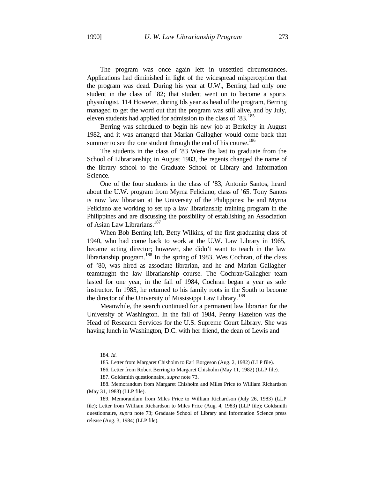The program was once again left in unsettled circumstances. Applications had diminished in light of the widespread misperception that the program was dead. During his year at U.W., Berring had only one student in the class of '82; that student went on to become a sports physiologist, 114 However, during Ids year as head of the program, Berring managed to get the word out that the program was still alive, and by July, eleven students had applied for admission to the class of '83.<sup>185</sup>

Berring was scheduled to begin his new job at Berkeley in August 1982, and it was arranged that Marian Gallagher would come back that summer to see the one student through the end of his course.<sup>186</sup>

The students in the class of '83 Were the last to graduate from the School of Librarianship; in August 1983, the regents changed the name of the library school to the Graduate School of Library and Information Science.

One of the four students in the class of '83, Antonio Santos, heard about the U.W. program from Myrna Feliciano, class of '65. Tony Santos is now law librarian at the University of the Philippines; he and Myrna Feliciano are working to set up a law librarianship training program in the Philippines and are discussing the possibility of establishing an Association of Asian Law Librarians.<sup>187</sup>

When Bob Berring left, Betty Wilkins, of the first graduating class of 1940, who had come back to work at the U.W. Law Library in 1965, became acting director; however, she didn't want to teach in the law librarianship program.<sup>188</sup> In the spring of 1983, Wes Cochran, of the class of '80, was hired as associate librarian, and he and Marian Gallagher teamtaught the law librarianship course. The Cochran/Gallagher team lasted for one year; in the fall of 1984, Cochran began a year as sole instructor. In 1985, he returned to his family roots in the South to become the director of the University of Mississippi Law Library.<sup>189</sup>

Meanwhile, the search continued for a permanent law librarian for the University of Washington. In the fall of 1984, Penny Hazelton was the Head of Research Services for the U.S. Supreme Court Library. She was having lunch in Washington, D.C. with her friend, the dean of Lewis and

<sup>184.</sup> *Id.*

<sup>185.</sup> Letter from Margaret Chisholm to Earl Borgeson (Aug. 2, 1982) (LLP file).

<sup>186.</sup> Letter from Robert Berring to Margaret Chisholm (May 11, 1982) (LLP file).

<sup>187.</sup> Goldsmith questionnaire, *supra* note 73.

<sup>188.</sup> Memorandum from Margaret Chisholm and Miles Price to William Richardson (May 31, 1983) (LLP file).

<sup>189.</sup> Memorandum from Miles Price to William Richardson (July 26, 1983) (LLP file); Letter from William Richardson to Miles Price (Aug. 4, 1983) (LLP file); Goldsmith questionnaire, *supra* note 73; Graduate School of Library and Information Science press release (Aug. 3, 1984) (LLP file).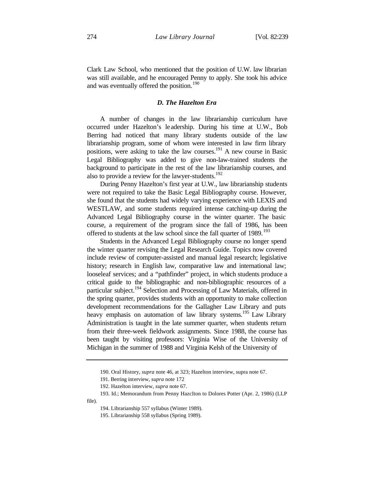Clark Law School, who mentioned that the position of U.W. law librarian was still available, and he encouraged Penny to apply. She took his advice and was eventually offered the position.<sup>190</sup>

### *D. The Hazelton Era*

A number of changes in the law librarianship curriculum have occurred under Hazelton's le adership. During his time at U.W., Bob Berring had noticed that many library students outside of the law librarianship program, some of whom were interested in law firm library positions, were asking to take the law courses.<sup>191</sup> A new course in Basic Legal Bibliography was added to give non-law-trained students the background to participate in the rest of the law librarianship courses, and also to provide a review for the lawyer-students.<sup>192</sup>

During Penny Hazelton's first year at U.W., law librarianship students were not required to take the Basic Legal Bibliography course. However, she found that the students had widely varying experience with LEXIS and WESTLAW, and some students required intense catching-up during the Advanced Legal Bibliography course in the winter quarter. The basic course, a requirement of the program since the fall of 1986, has been offered to students at the law school since the fall quarter of 1989.<sup>193</sup>

Students in the Advanced Legal Bibliography course no longer spend the winter quarter revising the Legal Research Guide. Topics now covered include review of computer-assisted and manual legal research; legislative history; research in English law, comparative law and international law; looseleaf services; and a "pathfinder" project, in which students produce a critical guide to the bibliographic and non-bibliographic resources of a particular subject.<sup>194</sup> Selection and Processing of Law Materials, offered in the spring quarter, provides students with an opportunity to make collection development recommendations for the Gallagher Law Library and puts heavy emphasis on automation of law library systems.<sup>195</sup> Law Library Administration is taught in the late summer quarter, when students return from their three-week fieldwork assignments. Since 1988, the course has been taught by visiting professors: Virginia Wise of the University of Michigan in the summer of 1988 and Virginia Kelsh of the University of

file).

<sup>190.</sup> Oral History, *supra* note 46, at 323; Hazelton interview, supra note 67.

<sup>191.</sup> Berring interview, *supra* note 172

<sup>192.</sup> Hazelton interview, *supra* note 67.

<sup>193.</sup> Id.; Memorandum from Penny HazcIton to Dolores Potter (Apr. 2, 1986) (LLP

<sup>194.</sup> Librarianship 557 syllabus (Winter 1989).

<sup>195.</sup> Librarianship 558 syllabus (Spring 1989).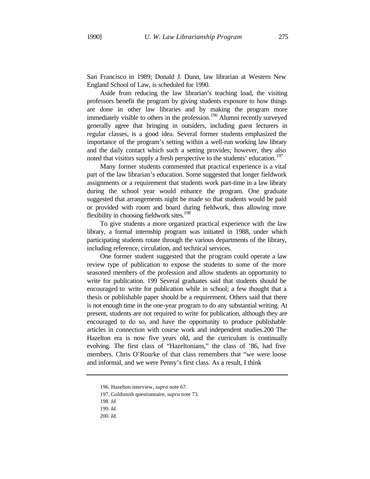San Francisco in 1989; Donald J. Dunn, law librarian at Western New England School of Law, is scheduled for 1990.

Aside from reducing the law librarian's teaching load, the visiting professors benefit the program by giving students exposure to how things are done in other law libraries and by making the program more immediately visible to others in the profession.<sup>196</sup> Alumni recently surveyed generally agree that bringing in outsiders, including guest lecturers in regular classes, is a good idea. Several former students emphasized the importance of the program's setting within a well-run working law library and the daily contact which such a setting provides; however, they also noted that visitors supply a fresh perspective to the students' education.<sup>197</sup>

Many former students commented that practical experience is a vital part of the law librarian's education. Some suggested that longer fieldwork assignments or a requirement that students work part-time in a law library during the school year would enhance the program. One graduate suggested that arrangements night be made so that students would be paid or provided with room and board during fieldwork, thus allowing more flexibility in choosing fieldwork sites.<sup>198</sup>

To give students a more organized practical experience with the law library, a formal internship program was initiated in 1988, under which participating students rotate through the various departments of the library, including reference, circulation, and technical services.

One former student suggested that the program could operate a law review type of publication to expose the students to some of the more seasoned members of the profession and allow students an opportunity to write for publication. 199 Several graduates said that students should be encouraged to write for publication while in school; a few thought that a thesis or publishable paper should be a requirement. Others said that there is not enough time in the one-year program to do any substantial writing. At present, students are not required to write for publication, although they are encouraged to do so, and have the opportunity to produce publishable articles in connection with course work and independent studies.200 The Hazelton era is now five years old, and the curriculum is continually evolving. The first class of "Hazeltonians," the class of '86, had five members. Chris O'Rourke of that class remembers that "we were loose and informal, and we were Penny's first class. As a result, I think

200. *Id.*

<sup>196.</sup> Hazelton interview, *supra* note 67.

<sup>197.</sup> Goldsmith questionnaire, *supra* note 73.

<sup>198.</sup> *Id.*

<sup>199.</sup> *Id.*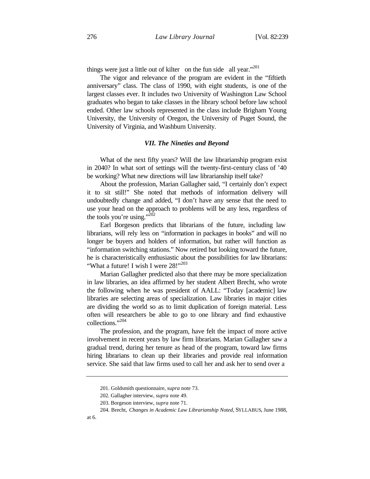things were just a little out of kilter on the fun side all year."<sup>201</sup>

The vigor and relevance of the program are evident in the "fiftieth anniversary" class. The class of 1990, with eight students, is one of the largest classes ever. It includes two University of Washington Law School graduates who began to take classes in the library school before law school ended. Other law schools represented in the class include Brigham Young University, the University of Oregon, the University of Puget Sound, the University of Virginia, and Washburn University.

#### *VII. The Nineties and Beyond*

What of the next fifty years? Will the law librarianship program exist in 2040? In what sort of settings will the twenty-first-century class of '40 be working? What new directions will law librarianship itself take?

About the profession, Marian Gallagher said, "I certainly don't expect it to sit still!" She noted that methods of information delivery will undoubtedly change and added, "I don't have any sense that the need to use your head on the approach to problems will be any less, regardless of the tools you're using." $^{202}$ 

Earl Borgeson predicts that librarians of the future, including law librarians, will rely less on "information in packages in books" and will no longer be buyers and holders of information, but rather will function as "information switching stations." Now retired but looking toward the future, he is characteristically enthusiastic about the possibilities for law librarians: "What a future! I wish I were  $28!$ "<sup>203</sup>

Marian Gallagher predicted also that there may be more specialization in law libraries, an idea affirmed by her student Albert Brecht, who wrote the following when he was president of AALL: "Today [academic] law libraries are selecting areas of specialization. Law libraries in major cities are dividing the world so as to limit duplication of foreign material. Less often will researchers be able to go to one library and find exhaustive collections."<sup>204</sup>

The profession, and the program, have felt the impact of more active involvement in recent years by law firm librarians. Marian Gallagher saw a gradual trend, during her tenure as head of the program, toward law firms hiring librarians to clean up their libraries and provide real information service. She said that law firms used to call her and ask her to send over a

at 6.

<sup>201.</sup> Goldsmith questionnaire, *supra* note 73.

<sup>202.</sup> Gallagher interview, *supra* note 49.

<sup>203.</sup> Borgeson interview, *supra* note 71.

<sup>204.</sup> Brecht, *Changes in Academic Law Librarianship Noted*, SYLLABUS, June 1988,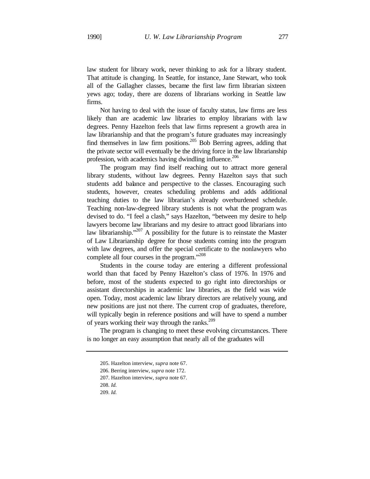law student for library work, never thinking to ask for a library student. That attitude is changing. In Seattle, for instance, Jane Stewart, who took all of the Gallagher classes, became the first law firm librarian sixteen yews ago; today, there are dozens of librarians working in Seattle law firms.

Not having to deal with the issue of faculty status, law firms are less likely than are academic law libraries to employ librarians with law degrees. Penny Hazelton feels that law firms represent a growth area in law librarianship and that the program's future graduates may increasingly find themselves in law firm positions.<sup>205</sup> Bob Berring agrees, adding that the private sector will eventually be the driving force in the law librarianship profession, with academics having dwindling influence.<sup>206</sup>

The program may find itself reaching out to attract more general library students, without law degrees. Penny Hazelton says that such students add balance and perspective to the classes. Encouraging such students, however, creates scheduling problems and adds additional teaching duties to the law librarian's already overburdened schedule. Teaching non-law-degreed library students is not what the program was devised to do. "I feel a clash," says Hazelton, "between my desire to help lawyers become law librarians and my desire to attract good librarians into law librarianship."<sup>207</sup> A possibility for the future is to reinstate the Master of Law Librarianship degree for those students coming into the program with law degrees, and offer the special certificate to the nonlawyers who complete all four courses in the program."<sup>208</sup>

Students in the course today are entering a different professional world than that faced by Penny Hazelton's class of 1976. In 1976 and before, most of the students expected to go right into directorships or assistant directorships in academic law libraries, as the field was wide open. Today, most academic law library directors are relatively young, and new positions are just not there. The current crop of graduates, therefore, will typically begin in reference positions and will have to spend a number of years working their way through the ranks.<sup>209</sup>

The program is changing to meet these evolving circumstances. There is no longer an easy assumption that nearly all of the graduates will

209. *Id.*

<sup>205.</sup> Hazelton interview, *supra* note 67.

<sup>206.</sup> Berring interview, *supra* note 172.

<sup>207.</sup> Hazelton interview, *supra* note 67.

<sup>208.</sup> *Id.*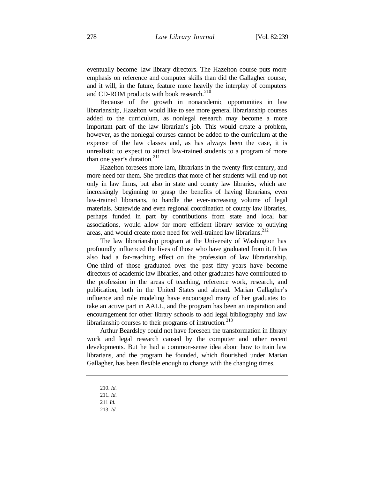eventually become law library directors. The Hazelton course puts more emphasis on reference and computer skills than did the Gallagher course, and it will, in the future, feature more heavily the interplay of computers and CD-ROM products with book research.<sup>210</sup>

Because of the growth in nonacademic opportunities in law librarianship, Hazelton would like to see more general librarianship courses added to the curriculum, as nonlegal research may become a more important part of the law librarian's job. This would create a problem, however, as the nonlegal courses cannot be added to the curriculum at the expense of the law classes and, as has always been the case, it is unrealistic to expect to attract law-trained students to a program of more than one year's duration. $^{211}$ 

Hazelton foresees more lam, librarians in the twenty-first century, and more need for them. She predicts that more of her students will end up not only in law firms, but also in state and county law libraries, which are increasingly beginning to grasp the benefits of having librarians, even law-trained librarians, to handle the ever-increasing volume of legal materials. Statewide and even regional coordination of county law libraries, perhaps funded in part by contributions from state and local bar associations, would allow for more efficient library service to outlying areas, and would create more need for well-trained law librarians.<sup>212</sup>

The law librarianship program at the University of Washington has profoundly influenced the lives of those who have graduated from it. It has also had a far-reaching effect on the profession of law librarianship. One-third of those graduated over the past fifty years have become directors of academic law libraries, and other graduates have contributed to the profession in the areas of teaching, reference work, research, and publication, both in the United States and abroad. Marian Gallagher's influence and role modeling have encouraged many of her graduates to take an active part in AALL, and the program has been an inspiration and encouragement for other library schools to add legal bibliography and law librarianship courses to their programs of instruction.<sup>213</sup>

Arthur Beardsley could not have foreseen the transformation in library work and legal research caused by the computer and other recent developments. But he had a common-sense idea about how to train law librarians, and the program he founded, which flourished under Marian Gallagher, has been flexible enough to change with the changing times.

<sup>210.</sup> *Id.*

<sup>211.</sup> *Id.*

<sup>211</sup> *Id.*

<sup>213.</sup> *Id.*